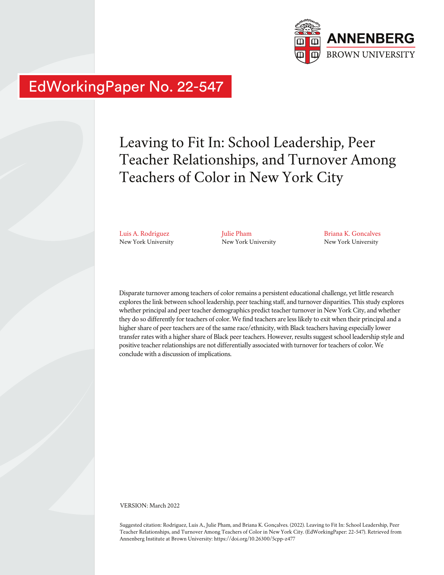

# EdWorkingPaper No. 22-547

## Leaving to Fit In: School Leadership, Peer Teacher Relationships, and Turnover Among Teachers of Color in New York City

Luis A. Rodriguez New York University Julie Pham New York University Briana K. Goncalves New York University

Disparate turnover among teachers of color remains a persistent educational challenge, yet little research explores the link between school leadership, peer teaching staff, and turnover disparities. This study explores whether principal and peer teacher demographics predict teacher turnover in New York City, and whether they do so differently for teachers of color. We find teachers are less likely to exit when their principal and a higher share of peer teachers are of the same race/ethnicity, with Black teachers having especially lower transfer rates with a higher share of Black peer teachers. However, results suggest school leadership style and positive teacher relationships are not differentially associated with turnover for teachers of color. We conclude with a discussion of implications.

VERSION: March 2022

Suggested citation: Rodriguez, Luis A., Julie Pham, and Briana K. Gonçalves. (2022). Leaving to Fit In: School Leadership, Peer Teacher Relationships, and Turnover Among Teachers of Color in New York City. (EdWorkingPaper: 22-547). Retrieved from Annenberg Institute at Brown University: https://doi.org/10.26300/5cpp-z477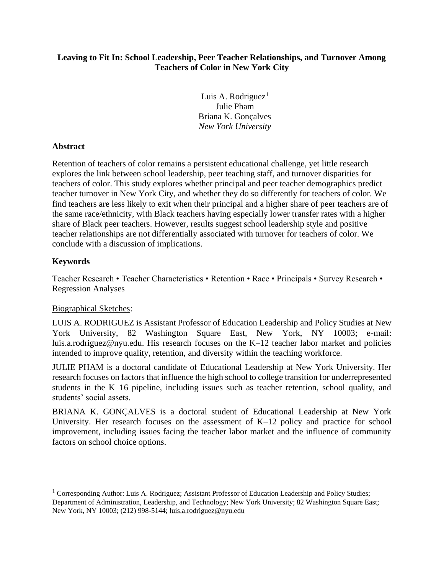## **Leaving to Fit In: School Leadership, Peer Teacher Relationships, and Turnover Among Teachers of Color in New York City**

Luis A. Rodriguez<sup>1</sup> Julie Pham Briana K. Gonçalves *New York University*

## **Abstract**

Retention of teachers of color remains a persistent educational challenge, yet little research explores the link between school leadership, peer teaching staff, and turnover disparities for teachers of color. This study explores whether principal and peer teacher demographics predict teacher turnover in New York City, and whether they do so differently for teachers of color. We find teachers are less likely to exit when their principal and a higher share of peer teachers are of the same race/ethnicity, with Black teachers having especially lower transfer rates with a higher share of Black peer teachers. However, results suggest school leadership style and positive teacher relationships are not differentially associated with turnover for teachers of color. We conclude with a discussion of implications.

## **Keywords**

Teacher Research • Teacher Characteristics • Retention • Race • Principals • Survey Research • Regression Analyses

## Biographical Sketches:

LUIS A. RODRIGUEZ is Assistant Professor of Education Leadership and Policy Studies at New York University, 82 Washington Square East, New York, NY 10003; e-mail: [luis.a.rodriguez@nyu.edu.](mailto:luis.a.rodriguez@nyu.edu) His research focuses on the K–12 teacher labor market and policies intended to improve quality, retention, and diversity within the teaching workforce.

JULIE PHAM is a doctoral candidate of Educational Leadership at New York University. Her research focuses on factors that influence the high school to college transition for underrepresented students in the K–16 pipeline, including issues such as teacher retention, school quality, and students' social assets.

BRIANA K. GONÇALVES is a doctoral student of Educational Leadership at New York University. Her research focuses on the assessment of K–12 policy and practice for school improvement, including issues facing the teacher labor market and the influence of community factors on school choice options.

<sup>&</sup>lt;sup>1</sup> Corresponding Author: Luis A. Rodriguez; Assistant Professor of Education Leadership and Policy Studies; Department of Administration, Leadership, and Technology; New York University; 82 Washington Square East; New York, NY 10003; (212) 998-5144; [luis.a.rodriguez@nyu.edu](mailto:luis.a.rodriguez@nyu.edu)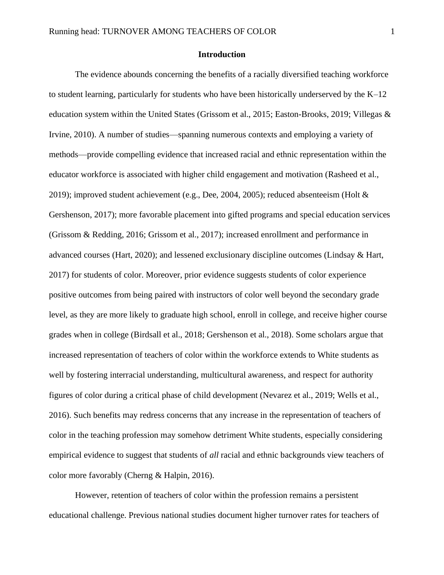#### **Introduction**

The evidence abounds concerning the benefits of a racially diversified teaching workforce to student learning, particularly for students who have been historically underserved by the K–12 education system within the United States (Grissom et al., 2015; Easton-Brooks, 2019; Villegas & Irvine, 2010). A number of studies—spanning numerous contexts and employing a variety of methods—provide compelling evidence that increased racial and ethnic representation within the educator workforce is associated with higher child engagement and motivation (Rasheed et al., 2019); improved student achievement (e.g., Dee, 2004, 2005); reduced absenteeism (Holt & Gershenson, 2017); more favorable placement into gifted programs and special education services (Grissom & Redding, 2016; Grissom et al., 2017); increased enrollment and performance in advanced courses (Hart, 2020); and lessened exclusionary discipline outcomes (Lindsay & Hart, 2017) for students of color. Moreover, prior evidence suggests students of color experience positive outcomes from being paired with instructors of color well beyond the secondary grade level, as they are more likely to graduate high school, enroll in college, and receive higher course grades when in college (Birdsall et al., 2018; Gershenson et al., 2018). Some scholars argue that increased representation of teachers of color within the workforce extends to White students as well by fostering interracial understanding, multicultural awareness, and respect for authority figures of color during a critical phase of child development (Nevarez et al., 2019; Wells et al., 2016). Such benefits may redress concerns that any increase in the representation of teachers of color in the teaching profession may somehow detriment White students, especially considering empirical evidence to suggest that students of *all* racial and ethnic backgrounds view teachers of color more favorably (Cherng & Halpin, 2016).

However, retention of teachers of color within the profession remains a persistent educational challenge. Previous national studies document higher turnover rates for teachers of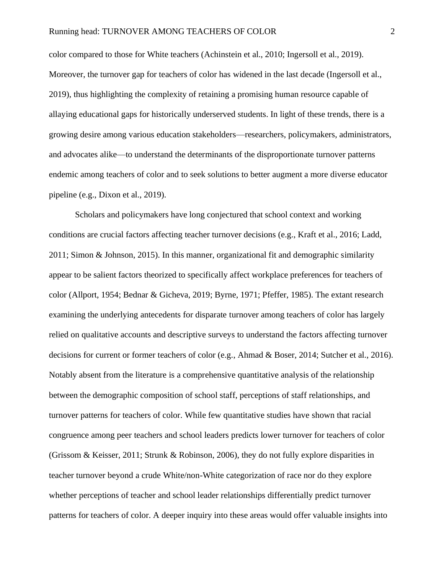color compared to those for White teachers (Achinstein et al., 2010; Ingersoll et al., 2019). Moreover, the turnover gap for teachers of color has widened in the last decade (Ingersoll et al., 2019), thus highlighting the complexity of retaining a promising human resource capable of allaying educational gaps for historically underserved students. In light of these trends, there is a growing desire among various education stakeholders—researchers, policymakers, administrators, and advocates alike—to understand the determinants of the disproportionate turnover patterns endemic among teachers of color and to seek solutions to better augment a more diverse educator pipeline (e.g., Dixon et al., 2019).

Scholars and policymakers have long conjectured that school context and working conditions are crucial factors affecting teacher turnover decisions (e.g., Kraft et al., 2016; Ladd, 2011; Simon & Johnson, 2015). In this manner, organizational fit and demographic similarity appear to be salient factors theorized to specifically affect workplace preferences for teachers of color (Allport, 1954; Bednar & Gicheva, 2019; Byrne, 1971; Pfeffer, 1985). The extant research examining the underlying antecedents for disparate turnover among teachers of color has largely relied on qualitative accounts and descriptive surveys to understand the factors affecting turnover decisions for current or former teachers of color (e.g., Ahmad & Boser, 2014; Sutcher et al., 2016). Notably absent from the literature is a comprehensive quantitative analysis of the relationship between the demographic composition of school staff, perceptions of staff relationships, and turnover patterns for teachers of color. While few quantitative studies have shown that racial congruence among peer teachers and school leaders predicts lower turnover for teachers of color (Grissom & Keisser, 2011; Strunk & Robinson, 2006), they do not fully explore disparities in teacher turnover beyond a crude White/non-White categorization of race nor do they explore whether perceptions of teacher and school leader relationships differentially predict turnover patterns for teachers of color. A deeper inquiry into these areas would offer valuable insights into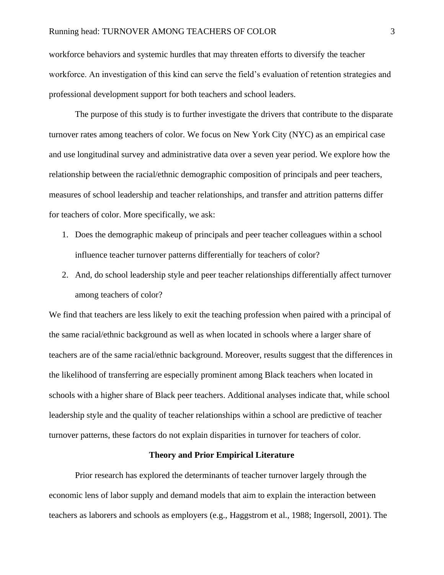workforce behaviors and systemic hurdles that may threaten efforts to diversify the teacher workforce. An investigation of this kind can serve the field's evaluation of retention strategies and professional development support for both teachers and school leaders.

The purpose of this study is to further investigate the drivers that contribute to the disparate turnover rates among teachers of color. We focus on New York City (NYC) as an empirical case and use longitudinal survey and administrative data over a seven year period. We explore how the relationship between the racial/ethnic demographic composition of principals and peer teachers, measures of school leadership and teacher relationships, and transfer and attrition patterns differ for teachers of color. More specifically, we ask:

- 1. Does the demographic makeup of principals and peer teacher colleagues within a school influence teacher turnover patterns differentially for teachers of color?
- 2. And, do school leadership style and peer teacher relationships differentially affect turnover among teachers of color?

We find that teachers are less likely to exit the teaching profession when paired with a principal of the same racial/ethnic background as well as when located in schools where a larger share of teachers are of the same racial/ethnic background. Moreover, results suggest that the differences in the likelihood of transferring are especially prominent among Black teachers when located in schools with a higher share of Black peer teachers. Additional analyses indicate that, while school leadership style and the quality of teacher relationships within a school are predictive of teacher turnover patterns, these factors do not explain disparities in turnover for teachers of color.

## **Theory and Prior Empirical Literature**

Prior research has explored the determinants of teacher turnover largely through the economic lens of labor supply and demand models that aim to explain the interaction between teachers as laborers and schools as employers (e.g., Haggstrom et al., 1988; Ingersoll, 2001). The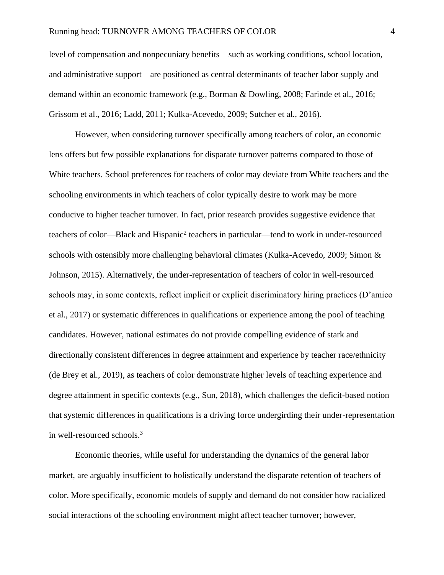level of compensation and nonpecuniary benefits—such as working conditions, school location, and administrative support—are positioned as central determinants of teacher labor supply and demand within an economic framework (e.g., Borman & Dowling, 2008; Farinde et al., 2016; Grissom et al., 2016; Ladd, 2011; Kulka-Acevedo, 2009; Sutcher et al., 2016).

However, when considering turnover specifically among teachers of color, an economic lens offers but few possible explanations for disparate turnover patterns compared to those of White teachers. School preferences for teachers of color may deviate from White teachers and the schooling environments in which teachers of color typically desire to work may be more conducive to higher teacher turnover. In fact, prior research provides suggestive evidence that teachers of color—Black and Hispanic<sup>2</sup> teachers in particular—tend to work in under-resourced schools with ostensibly more challenging behavioral climates (Kulka-Acevedo, 2009; Simon & Johnson, 2015). Alternatively, the under-representation of teachers of color in well-resourced schools may, in some contexts, reflect implicit or explicit discriminatory hiring practices (D'amico et al., 2017) or systematic differences in qualifications or experience among the pool of teaching candidates. However, national estimates do not provide compelling evidence of stark and directionally consistent differences in degree attainment and experience by teacher race/ethnicity (de Brey et al., 2019), as teachers of color demonstrate higher levels of teaching experience and degree attainment in specific contexts (e.g., Sun, 2018), which challenges the deficit-based notion that systemic differences in qualifications is a driving force undergirding their under-representation in well-resourced schools.<sup>3</sup>

Economic theories, while useful for understanding the dynamics of the general labor market, are arguably insufficient to holistically understand the disparate retention of teachers of color. More specifically, economic models of supply and demand do not consider how racialized social interactions of the schooling environment might affect teacher turnover; however,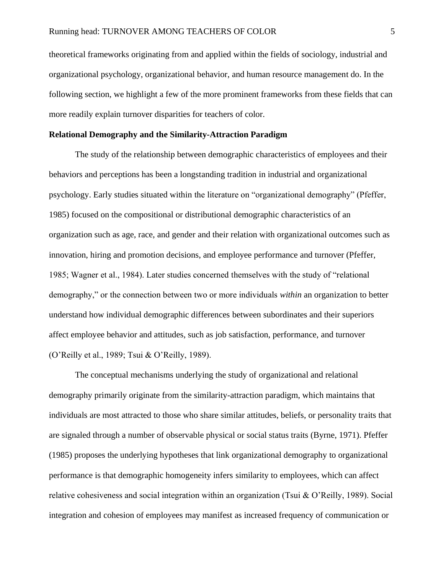theoretical frameworks originating from and applied within the fields of sociology, industrial and organizational psychology, organizational behavior, and human resource management do. In the following section, we highlight a few of the more prominent frameworks from these fields that can more readily explain turnover disparities for teachers of color.

#### **Relational Demography and the Similarity-Attraction Paradigm**

The study of the relationship between demographic characteristics of employees and their behaviors and perceptions has been a longstanding tradition in industrial and organizational psychology. Early studies situated within the literature on "organizational demography" (Pfeffer, 1985) focused on the compositional or distributional demographic characteristics of an organization such as age, race, and gender and their relation with organizational outcomes such as innovation, hiring and promotion decisions, and employee performance and turnover (Pfeffer, 1985; Wagner et al., 1984). Later studies concerned themselves with the study of "relational demography," or the connection between two or more individuals *within* an organization to better understand how individual demographic differences between subordinates and their superiors affect employee behavior and attitudes, such as job satisfaction, performance, and turnover (O'Reilly et al., 1989; Tsui & O'Reilly, 1989).

The conceptual mechanisms underlying the study of organizational and relational demography primarily originate from the similarity-attraction paradigm, which maintains that individuals are most attracted to those who share similar attitudes, beliefs, or personality traits that are signaled through a number of observable physical or social status traits (Byrne, 1971). Pfeffer (1985) proposes the underlying hypotheses that link organizational demography to organizational performance is that demographic homogeneity infers similarity to employees, which can affect relative cohesiveness and social integration within an organization (Tsui & O'Reilly, 1989). Social integration and cohesion of employees may manifest as increased frequency of communication or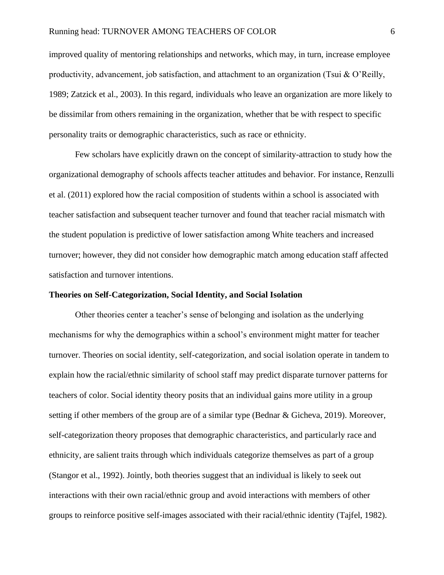improved quality of mentoring relationships and networks, which may, in turn, increase employee productivity, advancement, job satisfaction, and attachment to an organization (Tsui & O'Reilly, 1989; Zatzick et al., 2003). In this regard, individuals who leave an organization are more likely to be dissimilar from others remaining in the organization, whether that be with respect to specific personality traits or demographic characteristics, such as race or ethnicity.

Few scholars have explicitly drawn on the concept of similarity-attraction to study how the organizational demography of schools affects teacher attitudes and behavior. For instance, Renzulli et al. (2011) explored how the racial composition of students within a school is associated with teacher satisfaction and subsequent teacher turnover and found that teacher racial mismatch with the student population is predictive of lower satisfaction among White teachers and increased turnover; however, they did not consider how demographic match among education staff affected satisfaction and turnover intentions.

## **Theories on Self-Categorization, Social Identity, and Social Isolation**

Other theories center a teacher's sense of belonging and isolation as the underlying mechanisms for why the demographics within a school's environment might matter for teacher turnover. Theories on social identity, self-categorization, and social isolation operate in tandem to explain how the racial/ethnic similarity of school staff may predict disparate turnover patterns for teachers of color. Social identity theory posits that an individual gains more utility in a group setting if other members of the group are of a similar type (Bednar & Gicheva, 2019). Moreover, self-categorization theory proposes that demographic characteristics, and particularly race and ethnicity, are salient traits through which individuals categorize themselves as part of a group (Stangor et al., 1992). Jointly, both theories suggest that an individual is likely to seek out interactions with their own racial/ethnic group and avoid interactions with members of other groups to reinforce positive self-images associated with their racial/ethnic identity (Tajfel, 1982).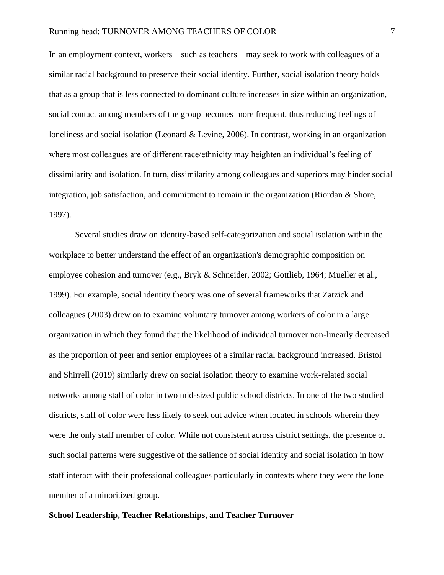In an employment context, workers—such as teachers—may seek to work with colleagues of a similar racial background to preserve their social identity. Further, social isolation theory holds that as a group that is less connected to dominant culture increases in size within an organization, social contact among members of the group becomes more frequent, thus reducing feelings of loneliness and social isolation (Leonard & Levine, 2006). In contrast, working in an organization where most colleagues are of different race/ethnicity may heighten an individual's feeling of dissimilarity and isolation. In turn, dissimilarity among colleagues and superiors may hinder social integration, job satisfaction, and commitment to remain in the organization (Riordan & Shore, 1997).

Several studies draw on identity-based self-categorization and social isolation within the workplace to better understand the effect of an organization's demographic composition on employee cohesion and turnover (e.g., Bryk & Schneider, 2002; Gottlieb, 1964; Mueller et al., 1999). For example, social identity theory was one of several frameworks that Zatzick and colleagues (2003) drew on to examine voluntary turnover among workers of color in a large organization in which they found that the likelihood of individual turnover non-linearly decreased as the proportion of peer and senior employees of a similar racial background increased. Bristol and Shirrell (2019) similarly drew on social isolation theory to examine work-related social networks among staff of color in two mid-sized public school districts. In one of the two studied districts, staff of color were less likely to seek out advice when located in schools wherein they were the only staff member of color. While not consistent across district settings, the presence of such social patterns were suggestive of the salience of social identity and social isolation in how staff interact with their professional colleagues particularly in contexts where they were the lone member of a minoritized group.

## **School Leadership, Teacher Relationships, and Teacher Turnover**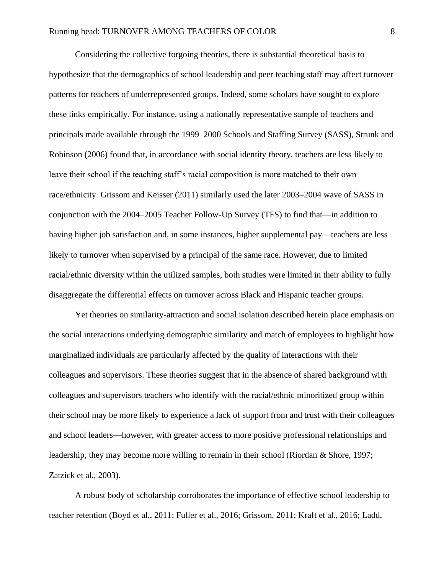Considering the collective forgoing theories, there is substantial theoretical basis to hypothesize that the demographics of school leadership and peer teaching staff may affect turnover patterns for teachers of underrepresented groups. Indeed, some scholars have sought to explore these links empirically. For instance, using a nationally representative sample of teachers and principals made available through the 1999–2000 Schools and Staffing Survey (SASS), Strunk and Robinson (2006) found that, in accordance with social identity theory, teachers are less likely to leave their school if the teaching staff's racial composition is more matched to their own race/ethnicity. Grissom and Keisser (2011) similarly used the later 2003–2004 wave of SASS in conjunction with the 2004–2005 Teacher Follow-Up Survey (TFS) to find that—in addition to having higher job satisfaction and, in some instances, higher supplemental pay—teachers are less likely to turnover when supervised by a principal of the same race. However, due to limited racial/ethnic diversity within the utilized samples, both studies were limited in their ability to fully disaggregate the differential effects on turnover across Black and Hispanic teacher groups.

Yet theories on similarity-attraction and social isolation described herein place emphasis on the social interactions underlying demographic similarity and match of employees to highlight how marginalized individuals are particularly affected by the quality of interactions with their colleagues and supervisors. These theories suggest that in the absence of shared background with colleagues and supervisors teachers who identify with the racial/ethnic minoritized group within their school may be more likely to experience a lack of support from and trust with their colleagues and school leaders––however, with greater access to more positive professional relationships and leadership, they may become more willing to remain in their school (Riordan & Shore, 1997; Zatzick et al., 2003).

A robust body of scholarship corroborates the importance of effective school leadership to teacher retention (Boyd et al., 2011; Fuller et al., 2016; Grissom, 2011; Kraft et al., 2016; Ladd,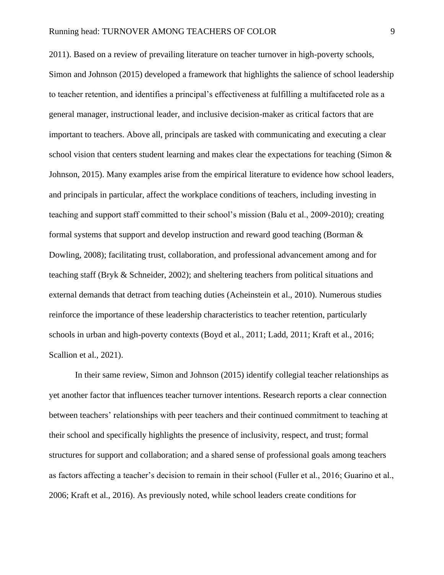2011). Based on a review of prevailing literature on teacher turnover in high-poverty schools, Simon and Johnson (2015) developed a framework that highlights the salience of school leadership to teacher retention, and identifies a principal's effectiveness at fulfilling a multifaceted role as a general manager, instructional leader, and inclusive decision-maker as critical factors that are important to teachers. Above all, principals are tasked with communicating and executing a clear school vision that centers student learning and makes clear the expectations for teaching (Simon  $\&$ Johnson, 2015). Many examples arise from the empirical literature to evidence how school leaders, and principals in particular, affect the workplace conditions of teachers, including investing in teaching and support staff committed to their school's mission (Balu et al., 2009-2010); creating formal systems that support and develop instruction and reward good teaching (Borman & Dowling, 2008); facilitating trust, collaboration, and professional advancement among and for teaching staff (Bryk & Schneider, 2002); and sheltering teachers from political situations and external demands that detract from teaching duties (Acheinstein et al., 2010). Numerous studies reinforce the importance of these leadership characteristics to teacher retention, particularly schools in urban and high-poverty contexts (Boyd et al., 2011; Ladd, 2011; Kraft et al., 2016; Scallion et al., 2021).

In their same review, Simon and Johnson (2015) identify collegial teacher relationships as yet another factor that influences teacher turnover intentions. Research reports a clear connection between teachers' relationships with peer teachers and their continued commitment to teaching at their school and specifically highlights the presence of inclusivity, respect, and trust; formal structures for support and collaboration; and a shared sense of professional goals among teachers as factors affecting a teacher's decision to remain in their school (Fuller et al., 2016; Guarino et al., 2006; Kraft et al., 2016). As previously noted, while school leaders create conditions for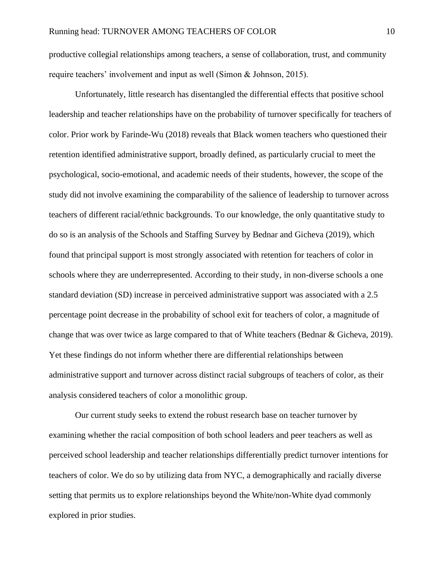productive collegial relationships among teachers, a sense of collaboration, trust, and community require teachers' involvement and input as well (Simon & Johnson, 2015).

Unfortunately, little research has disentangled the differential effects that positive school leadership and teacher relationships have on the probability of turnover specifically for teachers of color. Prior work by Farinde-Wu (2018) reveals that Black women teachers who questioned their retention identified administrative support, broadly defined, as particularly crucial to meet the psychological, socio-emotional, and academic needs of their students, however, the scope of the study did not involve examining the comparability of the salience of leadership to turnover across teachers of different racial/ethnic backgrounds. To our knowledge, the only quantitative study to do so is an analysis of the Schools and Staffing Survey by Bednar and Gicheva (2019), which found that principal support is most strongly associated with retention for teachers of color in schools where they are underrepresented. According to their study, in non-diverse schools a one standard deviation (SD) increase in perceived administrative support was associated with a 2.5 percentage point decrease in the probability of school exit for teachers of color, a magnitude of change that was over twice as large compared to that of White teachers (Bednar & Gicheva, 2019). Yet these findings do not inform whether there are differential relationships between administrative support and turnover across distinct racial subgroups of teachers of color, as their analysis considered teachers of color a monolithic group.

Our current study seeks to extend the robust research base on teacher turnover by examining whether the racial composition of both school leaders and peer teachers as well as perceived school leadership and teacher relationships differentially predict turnover intentions for teachers of color. We do so by utilizing data from NYC, a demographically and racially diverse setting that permits us to explore relationships beyond the White/non-White dyad commonly explored in prior studies.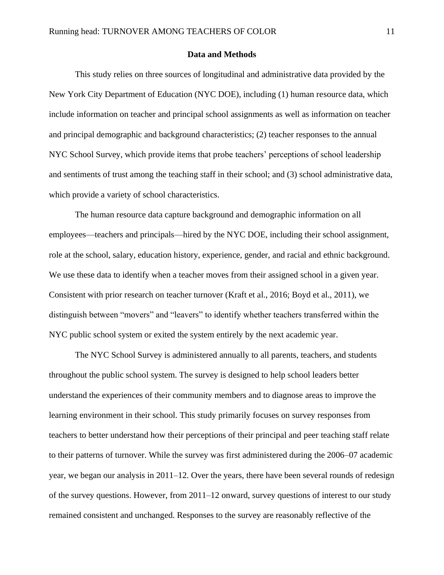#### **Data and Methods**

This study relies on three sources of longitudinal and administrative data provided by the New York City Department of Education (NYC DOE), including (1) human resource data, which include information on teacher and principal school assignments as well as information on teacher and principal demographic and background characteristics; (2) teacher responses to the annual NYC School Survey, which provide items that probe teachers' perceptions of school leadership and sentiments of trust among the teaching staff in their school; and (3) school administrative data, which provide a variety of school characteristics.

The human resource data capture background and demographic information on all employees—teachers and principals—hired by the NYC DOE, including their school assignment, role at the school, salary, education history, experience, gender, and racial and ethnic background. We use these data to identify when a teacher moves from their assigned school in a given year. Consistent with prior research on teacher turnover (Kraft et al., 2016; Boyd et al., 2011), we distinguish between "movers" and "leavers" to identify whether teachers transferred within the NYC public school system or exited the system entirely by the next academic year.

The NYC School Survey is administered annually to all parents, teachers, and students throughout the public school system. The survey is designed to help school leaders better understand the experiences of their community members and to diagnose areas to improve the learning environment in their school. This study primarily focuses on survey responses from teachers to better understand how their perceptions of their principal and peer teaching staff relate to their patterns of turnover. While the survey was first administered during the 2006–07 academic year, we began our analysis in 2011–12. Over the years, there have been several rounds of redesign of the survey questions. However, from 2011–12 onward, survey questions of interest to our study remained consistent and unchanged. Responses to the survey are reasonably reflective of the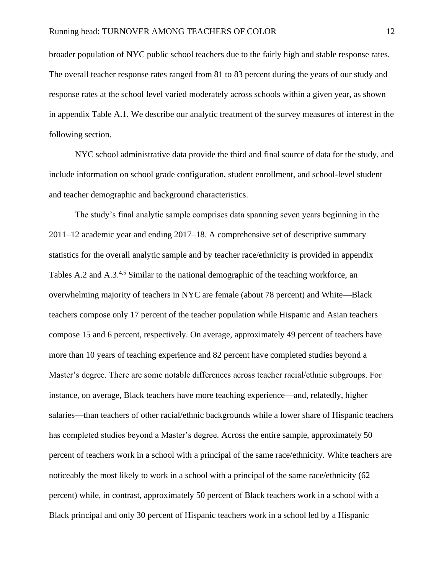broader population of NYC public school teachers due to the fairly high and stable response rates. The overall teacher response rates ranged from 81 to 83 percent during the years of our study and response rates at the school level varied moderately across schools within a given year, as shown in appendix Table A.1. We describe our analytic treatment of the survey measures of interest in the following section.

NYC school administrative data provide the third and final source of data for the study, and include information on school grade configuration, student enrollment, and school-level student and teacher demographic and background characteristics.

The study's final analytic sample comprises data spanning seven years beginning in the 2011–12 academic year and ending 2017–18. A comprehensive set of descriptive summary statistics for the overall analytic sample and by teacher race/ethnicity is provided in appendix Tables A.2 and A.3.<sup>4,5</sup> Similar to the national demographic of the teaching workforce, an overwhelming majority of teachers in NYC are female (about 78 percent) and White—Black teachers compose only 17 percent of the teacher population while Hispanic and Asian teachers compose 15 and 6 percent, respectively. On average, approximately 49 percent of teachers have more than 10 years of teaching experience and 82 percent have completed studies beyond a Master's degree. There are some notable differences across teacher racial/ethnic subgroups. For instance, on average, Black teachers have more teaching experience—and, relatedly, higher salaries—than teachers of other racial/ethnic backgrounds while a lower share of Hispanic teachers has completed studies beyond a Master's degree. Across the entire sample, approximately 50 percent of teachers work in a school with a principal of the same race/ethnicity. White teachers are noticeably the most likely to work in a school with a principal of the same race/ethnicity (62 percent) while, in contrast, approximately 50 percent of Black teachers work in a school with a Black principal and only 30 percent of Hispanic teachers work in a school led by a Hispanic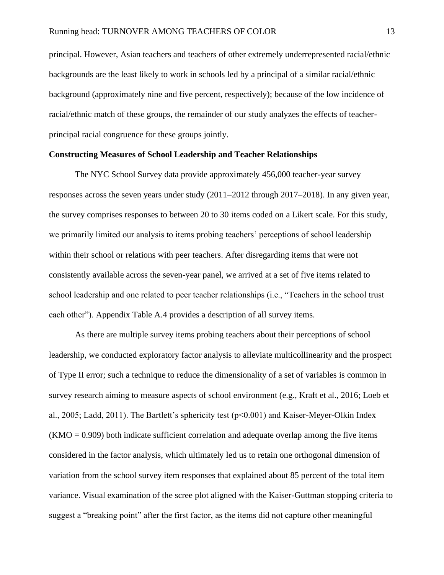principal. However, Asian teachers and teachers of other extremely underrepresented racial/ethnic backgrounds are the least likely to work in schools led by a principal of a similar racial/ethnic background (approximately nine and five percent, respectively); because of the low incidence of racial/ethnic match of these groups, the remainder of our study analyzes the effects of teacherprincipal racial congruence for these groups jointly.

#### **Constructing Measures of School Leadership and Teacher Relationships**

The NYC School Survey data provide approximately 456,000 teacher-year survey responses across the seven years under study (2011–2012 through 2017–2018). In any given year, the survey comprises responses to between 20 to 30 items coded on a Likert scale. For this study, we primarily limited our analysis to items probing teachers' perceptions of school leadership within their school or relations with peer teachers. After disregarding items that were not consistently available across the seven-year panel, we arrived at a set of five items related to school leadership and one related to peer teacher relationships (i.e., "Teachers in the school trust each other"). Appendix Table A.4 provides a description of all survey items.

As there are multiple survey items probing teachers about their perceptions of school leadership, we conducted exploratory factor analysis to alleviate multicollinearity and the prospect of Type II error; such a technique to reduce the dimensionality of a set of variables is common in survey research aiming to measure aspects of school environment (e.g., Kraft et al., 2016; Loeb et al., 2005; Ladd, 2011). The Bartlett's sphericity test (p<0.001) and Kaiser-Meyer-Olkin Index  $(KMO = 0.909)$  both indicate sufficient correlation and adequate overlap among the five items considered in the factor analysis, which ultimately led us to retain one orthogonal dimension of variation from the school survey item responses that explained about 85 percent of the total item variance. Visual examination of the scree plot aligned with the Kaiser-Guttman stopping criteria to suggest a "breaking point" after the first factor, as the items did not capture other meaningful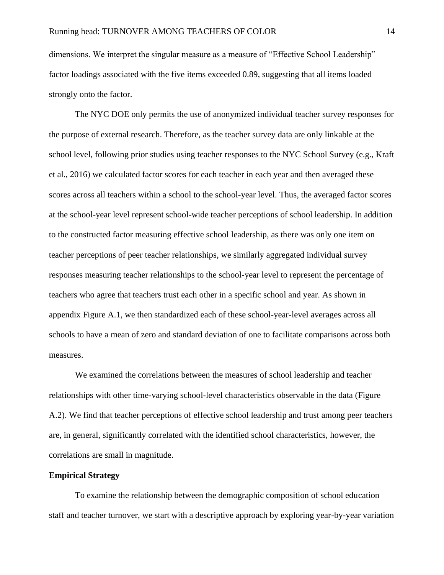dimensions. We interpret the singular measure as a measure of "Effective School Leadership"–– factor loadings associated with the five items exceeded 0.89, suggesting that all items loaded strongly onto the factor.

The NYC DOE only permits the use of anonymized individual teacher survey responses for the purpose of external research. Therefore, as the teacher survey data are only linkable at the school level, following prior studies using teacher responses to the NYC School Survey (e.g., Kraft et al., 2016) we calculated factor scores for each teacher in each year and then averaged these scores across all teachers within a school to the school-year level. Thus, the averaged factor scores at the school-year level represent school-wide teacher perceptions of school leadership. In addition to the constructed factor measuring effective school leadership, as there was only one item on teacher perceptions of peer teacher relationships, we similarly aggregated individual survey responses measuring teacher relationships to the school-year level to represent the percentage of teachers who agree that teachers trust each other in a specific school and year. As shown in appendix Figure A.1, we then standardized each of these school-year-level averages across all schools to have a mean of zero and standard deviation of one to facilitate comparisons across both measures.

We examined the correlations between the measures of school leadership and teacher relationships with other time-varying school-level characteristics observable in the data (Figure A.2). We find that teacher perceptions of effective school leadership and trust among peer teachers are, in general, significantly correlated with the identified school characteristics, however, the correlations are small in magnitude.

## **Empirical Strategy**

To examine the relationship between the demographic composition of school education staff and teacher turnover, we start with a descriptive approach by exploring year-by-year variation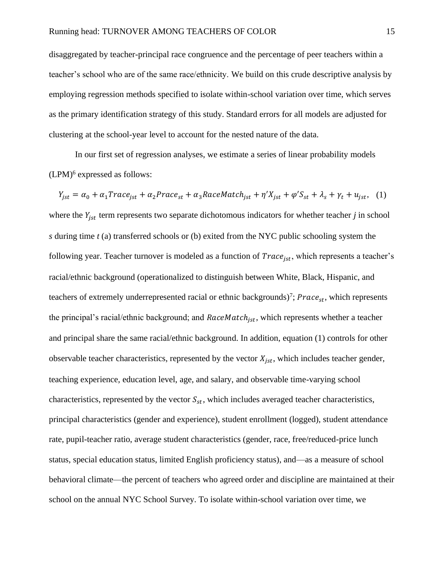disaggregated by teacher-principal race congruence and the percentage of peer teachers within a teacher's school who are of the same race/ethnicity. We build on this crude descriptive analysis by employing regression methods specified to isolate within-school variation over time, which serves as the primary identification strategy of this study. Standard errors for all models are adjusted for clustering at the school-year level to account for the nested nature of the data.

In our first set of regression analyses, we estimate a series of linear probability models  $(LPM)^6$  expressed as follows:

 $Y_{jst} = \alpha_0 + \alpha_1 Trace_{jst} + \alpha_2 Trace_{st} + \alpha_3 RaceMatch_{jst} + \eta' X_{jst} + \varphi' S_{st} + \lambda_s + \gamma_t + u_{jst},$  (1) where the  $Y_{jst}$  term represents two separate dichotomous indicators for whether teacher  $j$  in school *s* during time *t* (a) transferred schools or (b) exited from the NYC public schooling system the following year. Teacher turnover is modeled as a function of  $Trace_{ist}$ , which represents a teacher's racial/ethnic background (operationalized to distinguish between White, Black, Hispanic, and teachers of extremely underrepresented racial or ethnic backgrounds)<sup>7</sup>;  $\text{Prace}_{st}$ , which represents the principal's racial/ethnic background; and  $RaceMatch<sub>ist</sub>$ , which represents whether a teacher and principal share the same racial/ethnic background. In addition, equation (1) controls for other observable teacher characteristics, represented by the vector  $X_{jst}$ , which includes teacher gender, teaching experience, education level, age, and salary, and observable time-varying school characteristics, represented by the vector  $S_{st}$ , which includes averaged teacher characteristics, principal characteristics (gender and experience), student enrollment (logged), student attendance rate, pupil-teacher ratio, average student characteristics (gender, race, free/reduced-price lunch status, special education status, limited English proficiency status), and—as a measure of school behavioral climate—the percent of teachers who agreed order and discipline are maintained at their school on the annual NYC School Survey. To isolate within-school variation over time, we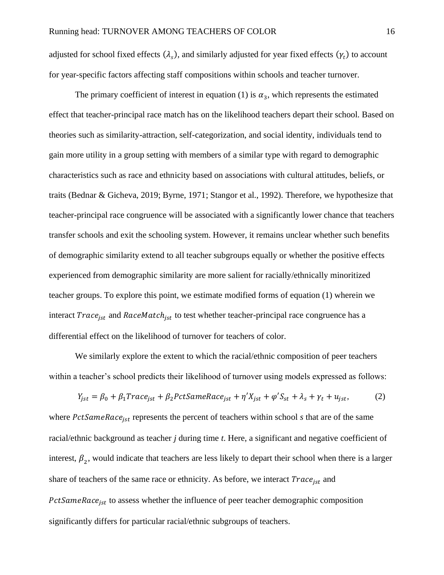adjusted for school fixed effects  $(\lambda_s)$ , and similarly adjusted for year fixed effects  $(\gamma_t)$  to account for year-specific factors affecting staff compositions within schools and teacher turnover.

The primary coefficient of interest in equation (1) is  $\alpha_3$ , which represents the estimated effect that teacher-principal race match has on the likelihood teachers depart their school. Based on theories such as similarity-attraction, self-categorization, and social identity, individuals tend to gain more utility in a group setting with members of a similar type with regard to demographic characteristics such as race and ethnicity based on associations with cultural attitudes, beliefs, or traits (Bednar & Gicheva, 2019; Byrne, 1971; Stangor et al., 1992). Therefore, we hypothesize that teacher-principal race congruence will be associated with a significantly lower chance that teachers transfer schools and exit the schooling system. However, it remains unclear whether such benefits of demographic similarity extend to all teacher subgroups equally or whether the positive effects experienced from demographic similarity are more salient for racially/ethnically minoritized teacher groups. To explore this point, we estimate modified forms of equation (1) wherein we interact  $Trace_{ist}$  and  $RaceMatch_{ist}$  to test whether teacher-principal race congruence has a differential effect on the likelihood of turnover for teachers of color.

We similarly explore the extent to which the racial/ethnic composition of peer teachers within a teacher's school predicts their likelihood of turnover using models expressed as follows:

$$
Y_{jst} = \beta_0 + \beta_1 Trace_{jst} + \beta_2 PctSameRace_{jst} + \eta' X_{jst} + \varphi' S_{st} + \lambda_s + \gamma_t + u_{jst},
$$
 (2)

where PctSameRace<sub>ist</sub> represents the percent of teachers within school *s* that are of the same racial/ethnic background as teacher *j* during time *t*. Here, a significant and negative coefficient of interest,  $\beta_2$ , would indicate that teachers are less likely to depart their school when there is a larger share of teachers of the same race or ethnicity. As before, we interact  $Trace_{jst}$  and  $PctSameRace<sub>ist</sub>$  to assess whether the influence of peer teacher demographic composition significantly differs for particular racial/ethnic subgroups of teachers.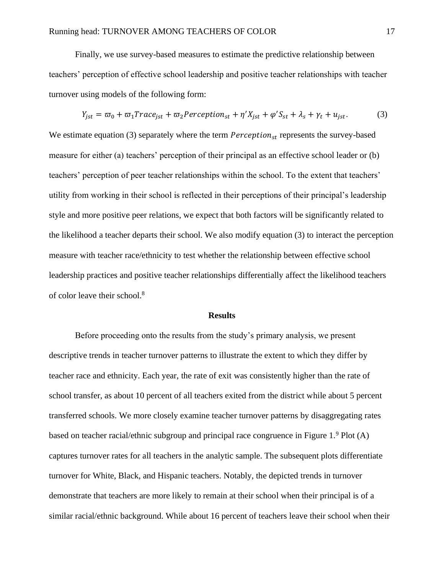Finally, we use survey-based measures to estimate the predictive relationship between teachers' perception of effective school leadership and positive teacher relationships with teacher turnover using models of the following form:

$$
Y_{jst} = \varpi_0 + \varpi_1 Trace_{jst} + \varpi_2 Perception_{st} + \eta' X_{jst} + \varphi' S_{st} + \lambda_s + \gamma_t + u_{jst}.
$$
 (3)

We estimate equation (3) separately where the term  $Perception_{st}$  represents the survey-based measure for either (a) teachers' perception of their principal as an effective school leader or (b) teachers' perception of peer teacher relationships within the school. To the extent that teachers' utility from working in their school is reflected in their perceptions of their principal's leadership style and more positive peer relations, we expect that both factors will be significantly related to the likelihood a teacher departs their school. We also modify equation (3) to interact the perception measure with teacher race/ethnicity to test whether the relationship between effective school leadership practices and positive teacher relationships differentially affect the likelihood teachers of color leave their school.<sup>8</sup>

### **Results**

Before proceeding onto the results from the study's primary analysis, we present descriptive trends in teacher turnover patterns to illustrate the extent to which they differ by teacher race and ethnicity. Each year, the rate of exit was consistently higher than the rate of school transfer, as about 10 percent of all teachers exited from the district while about 5 percent transferred schools. We more closely examine teacher turnover patterns by disaggregating rates based on teacher racial/ethnic subgroup and principal race congruence in Figure 1.<sup>9</sup> Plot (A) captures turnover rates for all teachers in the analytic sample. The subsequent plots differentiate turnover for White, Black, and Hispanic teachers. Notably, the depicted trends in turnover demonstrate that teachers are more likely to remain at their school when their principal is of a similar racial/ethnic background. While about 16 percent of teachers leave their school when their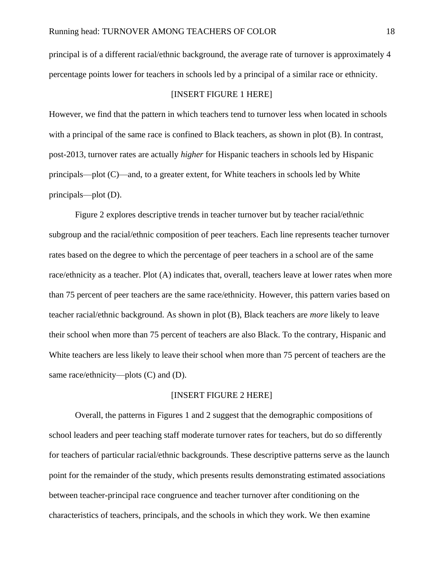principal is of a different racial/ethnic background, the average rate of turnover is approximately 4 percentage points lower for teachers in schools led by a principal of a similar race or ethnicity.

#### [INSERT FIGURE 1 HERE]

However, we find that the pattern in which teachers tend to turnover less when located in schools with a principal of the same race is confined to Black teachers, as shown in plot  $(B)$ . In contrast, post-2013, turnover rates are actually *higher* for Hispanic teachers in schools led by Hispanic principals—plot (C)—and, to a greater extent, for White teachers in schools led by White principals—plot (D).

Figure 2 explores descriptive trends in teacher turnover but by teacher racial/ethnic subgroup and the racial/ethnic composition of peer teachers. Each line represents teacher turnover rates based on the degree to which the percentage of peer teachers in a school are of the same race/ethnicity as a teacher. Plot (A) indicates that, overall, teachers leave at lower rates when more than 75 percent of peer teachers are the same race/ethnicity. However, this pattern varies based on teacher racial/ethnic background. As shown in plot (B), Black teachers are *more* likely to leave their school when more than 75 percent of teachers are also Black. To the contrary, Hispanic and White teachers are less likely to leave their school when more than 75 percent of teachers are the same race/ethnicity—plots (C) and (D).

## [INSERT FIGURE 2 HERE]

Overall, the patterns in Figures 1 and 2 suggest that the demographic compositions of school leaders and peer teaching staff moderate turnover rates for teachers, but do so differently for teachers of particular racial/ethnic backgrounds. These descriptive patterns serve as the launch point for the remainder of the study, which presents results demonstrating estimated associations between teacher-principal race congruence and teacher turnover after conditioning on the characteristics of teachers, principals, and the schools in which they work. We then examine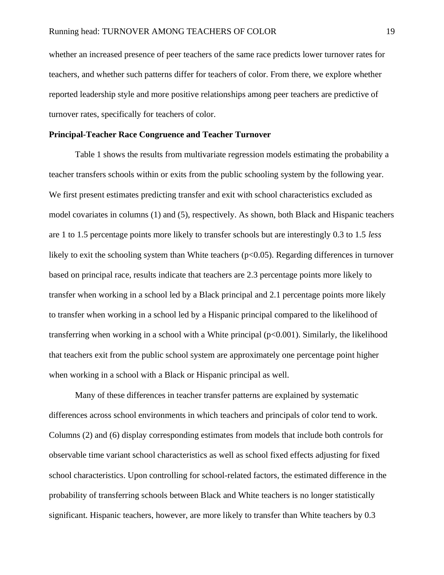whether an increased presence of peer teachers of the same race predicts lower turnover rates for teachers, and whether such patterns differ for teachers of color. From there, we explore whether reported leadership style and more positive relationships among peer teachers are predictive of turnover rates, specifically for teachers of color.

#### **Principal-Teacher Race Congruence and Teacher Turnover**

Table 1 shows the results from multivariate regression models estimating the probability a teacher transfers schools within or exits from the public schooling system by the following year. We first present estimates predicting transfer and exit with school characteristics excluded as model covariates in columns (1) and (5), respectively. As shown, both Black and Hispanic teachers are 1 to 1.5 percentage points more likely to transfer schools but are interestingly 0.3 to 1.5 *less* likely to exit the schooling system than White teachers  $(p<0.05)$ . Regarding differences in turnover based on principal race, results indicate that teachers are 2.3 percentage points more likely to transfer when working in a school led by a Black principal and 2.1 percentage points more likely to transfer when working in a school led by a Hispanic principal compared to the likelihood of transferring when working in a school with a White principal (p<0.001). Similarly, the likelihood that teachers exit from the public school system are approximately one percentage point higher when working in a school with a Black or Hispanic principal as well.

Many of these differences in teacher transfer patterns are explained by systematic differences across school environments in which teachers and principals of color tend to work. Columns (2) and (6) display corresponding estimates from models that include both controls for observable time variant school characteristics as well as school fixed effects adjusting for fixed school characteristics. Upon controlling for school-related factors, the estimated difference in the probability of transferring schools between Black and White teachers is no longer statistically significant. Hispanic teachers, however, are more likely to transfer than White teachers by 0.3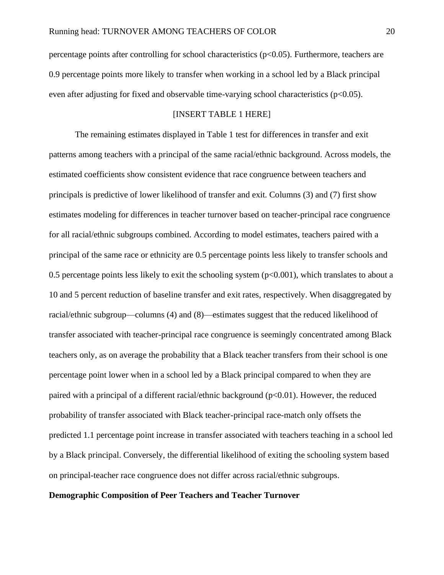percentage points after controlling for school characteristics (p<0.05). Furthermore, teachers are 0.9 percentage points more likely to transfer when working in a school led by a Black principal even after adjusting for fixed and observable time-varying school characteristics ( $p<0.05$ ).

#### [INSERT TABLE 1 HERE]

The remaining estimates displayed in Table 1 test for differences in transfer and exit patterns among teachers with a principal of the same racial/ethnic background. Across models, the estimated coefficients show consistent evidence that race congruence between teachers and principals is predictive of lower likelihood of transfer and exit. Columns (3) and (7) first show estimates modeling for differences in teacher turnover based on teacher-principal race congruence for all racial/ethnic subgroups combined. According to model estimates, teachers paired with a principal of the same race or ethnicity are 0.5 percentage points less likely to transfer schools and 0.5 percentage points less likely to exit the schooling system  $(p<0.001)$ , which translates to about a 10 and 5 percent reduction of baseline transfer and exit rates, respectively. When disaggregated by racial/ethnic subgroup—columns (4) and (8)—estimates suggest that the reduced likelihood of transfer associated with teacher-principal race congruence is seemingly concentrated among Black teachers only, as on average the probability that a Black teacher transfers from their school is one percentage point lower when in a school led by a Black principal compared to when they are paired with a principal of a different racial/ethnic background (p<0.01). However, the reduced probability of transfer associated with Black teacher-principal race-match only offsets the predicted 1.1 percentage point increase in transfer associated with teachers teaching in a school led by a Black principal. Conversely, the differential likelihood of exiting the schooling system based on principal-teacher race congruence does not differ across racial/ethnic subgroups.

## **Demographic Composition of Peer Teachers and Teacher Turnover**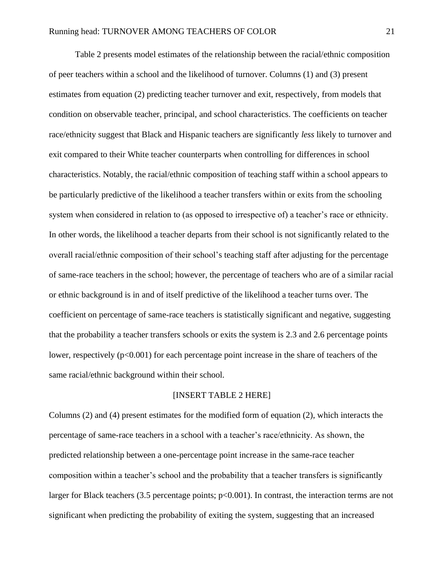Table 2 presents model estimates of the relationship between the racial/ethnic composition of peer teachers within a school and the likelihood of turnover. Columns (1) and (3) present estimates from equation (2) predicting teacher turnover and exit, respectively, from models that condition on observable teacher, principal, and school characteristics. The coefficients on teacher race/ethnicity suggest that Black and Hispanic teachers are significantly *less* likely to turnover and exit compared to their White teacher counterparts when controlling for differences in school characteristics. Notably, the racial/ethnic composition of teaching staff within a school appears to be particularly predictive of the likelihood a teacher transfers within or exits from the schooling system when considered in relation to (as opposed to irrespective of) a teacher's race or ethnicity. In other words, the likelihood a teacher departs from their school is not significantly related to the overall racial/ethnic composition of their school's teaching staff after adjusting for the percentage of same-race teachers in the school; however, the percentage of teachers who are of a similar racial or ethnic background is in and of itself predictive of the likelihood a teacher turns over. The coefficient on percentage of same-race teachers is statistically significant and negative, suggesting that the probability a teacher transfers schools or exits the system is 2.3 and 2.6 percentage points lower, respectively ( $p<0.001$ ) for each percentage point increase in the share of teachers of the same racial/ethnic background within their school.

## [INSERT TABLE 2 HERE]

Columns (2) and (4) present estimates for the modified form of equation (2), which interacts the percentage of same-race teachers in a school with a teacher's race/ethnicity. As shown, the predicted relationship between a one-percentage point increase in the same-race teacher composition within a teacher's school and the probability that a teacher transfers is significantly larger for Black teachers (3.5 percentage points;  $p<0.001$ ). In contrast, the interaction terms are not significant when predicting the probability of exiting the system, suggesting that an increased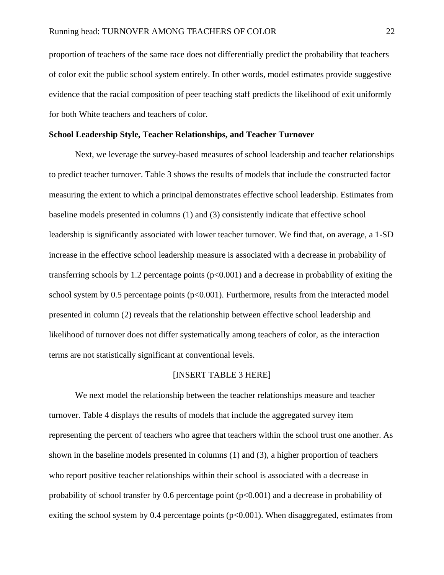proportion of teachers of the same race does not differentially predict the probability that teachers of color exit the public school system entirely. In other words, model estimates provide suggestive evidence that the racial composition of peer teaching staff predicts the likelihood of exit uniformly for both White teachers and teachers of color.

#### **School Leadership Style, Teacher Relationships, and Teacher Turnover**

Next, we leverage the survey-based measures of school leadership and teacher relationships to predict teacher turnover. Table 3 shows the results of models that include the constructed factor measuring the extent to which a principal demonstrates effective school leadership. Estimates from baseline models presented in columns (1) and (3) consistently indicate that effective school leadership is significantly associated with lower teacher turnover. We find that, on average, a 1-SD increase in the effective school leadership measure is associated with a decrease in probability of transferring schools by 1.2 percentage points  $(p<0.001)$  and a decrease in probability of exiting the school system by 0.5 percentage points  $(p<0.001)$ . Furthermore, results from the interacted model presented in column (2) reveals that the relationship between effective school leadership and likelihood of turnover does not differ systematically among teachers of color, as the interaction terms are not statistically significant at conventional levels.

## [INSERT TABLE 3 HERE]

We next model the relationship between the teacher relationships measure and teacher turnover. Table 4 displays the results of models that include the aggregated survey item representing the percent of teachers who agree that teachers within the school trust one another. As shown in the baseline models presented in columns (1) and (3), a higher proportion of teachers who report positive teacher relationships within their school is associated with a decrease in probability of school transfer by 0.6 percentage point  $(p<0.001)$  and a decrease in probability of exiting the school system by 0.4 percentage points  $(p<0.001)$ . When disaggregated, estimates from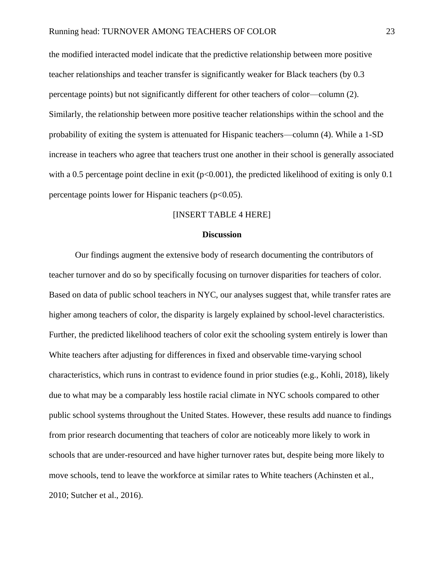the modified interacted model indicate that the predictive relationship between more positive teacher relationships and teacher transfer is significantly weaker for Black teachers (by 0.3 percentage points) but not significantly different for other teachers of color—column (2). Similarly, the relationship between more positive teacher relationships within the school and the probability of exiting the system is attenuated for Hispanic teachers—column (4). While a 1-SD increase in teachers who agree that teachers trust one another in their school is generally associated with a 0.5 percentage point decline in exit ( $p<0.001$ ), the predicted likelihood of exiting is only 0.1 percentage points lower for Hispanic teachers  $(p<0.05)$ .

#### [INSERT TABLE 4 HERE]

#### **Discussion**

Our findings augment the extensive body of research documenting the contributors of teacher turnover and do so by specifically focusing on turnover disparities for teachers of color. Based on data of public school teachers in NYC, our analyses suggest that, while transfer rates are higher among teachers of color, the disparity is largely explained by school-level characteristics. Further, the predicted likelihood teachers of color exit the schooling system entirely is lower than White teachers after adjusting for differences in fixed and observable time-varying school characteristics, which runs in contrast to evidence found in prior studies (e.g., Kohli, 2018), likely due to what may be a comparably less hostile racial climate in NYC schools compared to other public school systems throughout the United States. However, these results add nuance to findings from prior research documenting that teachers of color are noticeably more likely to work in schools that are under-resourced and have higher turnover rates but, despite being more likely to move schools, tend to leave the workforce at similar rates to White teachers (Achinsten et al., 2010; Sutcher et al., 2016).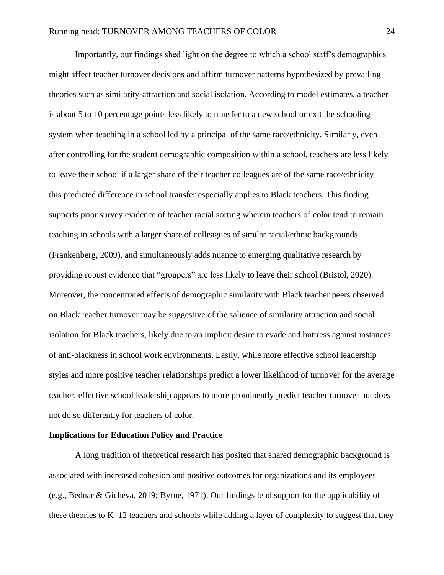Importantly, our findings shed light on the degree to which a school staff's demographics might affect teacher turnover decisions and affirm turnover patterns hypothesized by prevailing theories such as similarity-attraction and social isolation. According to model estimates, a teacher is about 5 to 10 percentage points less likely to transfer to a new school or exit the schooling system when teaching in a school led by a principal of the same race/ethnicity. Similarly, even after controlling for the student demographic composition within a school, teachers are less likely to leave their school if a larger share of their teacher colleagues are of the same race/ethnicity this predicted difference in school transfer especially applies to Black teachers. This finding supports prior survey evidence of teacher racial sorting wherein teachers of color tend to remain teaching in schools with a larger share of colleagues of similar racial/ethnic backgrounds (Frankenberg, 2009), and simultaneously adds nuance to emerging qualitative research by providing robust evidence that "groupers" are less likely to leave their school (Bristol, 2020). Moreover, the concentrated effects of demographic similarity with Black teacher peers observed on Black teacher turnover may be suggestive of the salience of similarity attraction and social isolation for Black teachers, likely due to an implicit desire to evade and buttress against instances of anti-blackness in school work environments. Lastly, while more effective school leadership styles and more positive teacher relationships predict a lower likelihood of turnover for the average teacher, effective school leadership appears to more prominently predict teacher turnover but does not do so differently for teachers of color.

## **Implications for Education Policy and Practice**

A long tradition of theoretical research has posited that shared demographic background is associated with increased cohesion and positive outcomes for organizations and its employees (e.g., Bednar & Gicheva, 2019; Byrne, 1971). Our findings lend support for the applicability of these theories to K–12 teachers and schools while adding a layer of complexity to suggest that they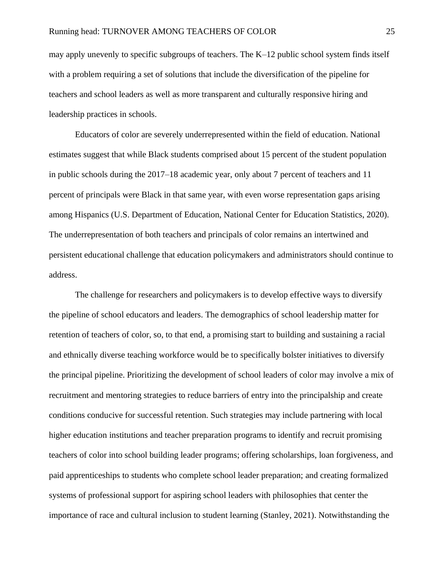may apply unevenly to specific subgroups of teachers. The K–12 public school system finds itself with a problem requiring a set of solutions that include the diversification of the pipeline for teachers and school leaders as well as more transparent and culturally responsive hiring and leadership practices in schools.

Educators of color are severely underrepresented within the field of education. National estimates suggest that while Black students comprised about 15 percent of the student population in public schools during the 2017–18 academic year, only about 7 percent of teachers and 11 percent of principals were Black in that same year, with even worse representation gaps arising among Hispanics (U.S. Department of Education, National Center for Education Statistics, 2020). The underrepresentation of both teachers and principals of color remains an intertwined and persistent educational challenge that education policymakers and administrators should continue to address.

The challenge for researchers and policymakers is to develop effective ways to diversify the pipeline of school educators and leaders. The demographics of school leadership matter for retention of teachers of color, so, to that end, a promising start to building and sustaining a racial and ethnically diverse teaching workforce would be to specifically bolster initiatives to diversify the principal pipeline. Prioritizing the development of school leaders of color may involve a mix of recruitment and mentoring strategies to reduce barriers of entry into the principalship and create conditions conducive for successful retention. Such strategies may include partnering with local higher education institutions and teacher preparation programs to identify and recruit promising teachers of color into school building leader programs; offering scholarships, loan forgiveness, and paid apprenticeships to students who complete school leader preparation; and creating formalized systems of professional support for aspiring school leaders with philosophies that center the importance of race and cultural inclusion to student learning (Stanley, 2021). Notwithstanding the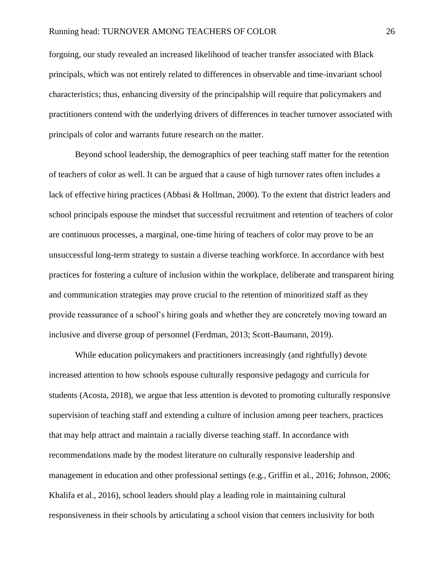forgoing, our study revealed an increased likelihood of teacher transfer associated with Black principals, which was not entirely related to differences in observable and time-invariant school characteristics; thus, enhancing diversity of the principalship will require that policymakers and practitioners contend with the underlying drivers of differences in teacher turnover associated with principals of color and warrants future research on the matter.

Beyond school leadership, the demographics of peer teaching staff matter for the retention of teachers of color as well. It can be argued that a cause of high turnover rates often includes a lack of effective hiring practices (Abbasi & Hollman, 2000). To the extent that district leaders and school principals espouse the mindset that successful recruitment and retention of teachers of color are continuous processes, a marginal, one-time hiring of teachers of color may prove to be an unsuccessful long-term strategy to sustain a diverse teaching workforce. In accordance with best practices for fostering a culture of inclusion within the workplace, deliberate and transparent hiring and communication strategies may prove crucial to the retention of minoritized staff as they provide reassurance of a school's hiring goals and whether they are concretely moving toward an inclusive and diverse group of personnel (Ferdman, 2013; Scott-Baumann, 2019).

While education policymakers and practitioners increasingly (and rightfully) devote increased attention to how schools espouse culturally responsive pedagogy and curricula for students (Acosta, 2018), we argue that less attention is devoted to promoting culturally responsive supervision of teaching staff and extending a culture of inclusion among peer teachers, practices that may help attract and maintain a racially diverse teaching staff. In accordance with recommendations made by the modest literature on culturally responsive leadership and management in education and other professional settings (e.g., Griffin et al., 2016; Johnson, 2006; Khalifa et al., 2016), school leaders should play a leading role in maintaining cultural responsiveness in their schools by articulating a school vision that centers inclusivity for both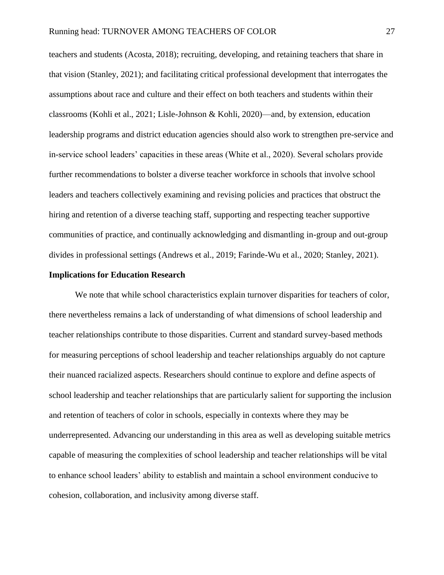teachers and students (Acosta, 2018); recruiting, developing, and retaining teachers that share in that vision (Stanley, 2021); and facilitating critical professional development that interrogates the assumptions about race and culture and their effect on both teachers and students within their classrooms (Kohli et al., 2021; Lisle-Johnson & Kohli, 2020)––and, by extension, education leadership programs and district education agencies should also work to strengthen pre-service and in-service school leaders' capacities in these areas (White et al., 2020). Several scholars provide further recommendations to bolster a diverse teacher workforce in schools that involve school leaders and teachers collectively examining and revising policies and practices that obstruct the hiring and retention of a diverse teaching staff, supporting and respecting teacher supportive communities of practice, and continually acknowledging and dismantling in-group and out-group divides in professional settings (Andrews et al., 2019; Farinde-Wu et al., 2020; Stanley, 2021).

### **Implications for Education Research**

We note that while school characteristics explain turnover disparities for teachers of color, there nevertheless remains a lack of understanding of what dimensions of school leadership and teacher relationships contribute to those disparities. Current and standard survey-based methods for measuring perceptions of school leadership and teacher relationships arguably do not capture their nuanced racialized aspects. Researchers should continue to explore and define aspects of school leadership and teacher relationships that are particularly salient for supporting the inclusion and retention of teachers of color in schools, especially in contexts where they may be underrepresented. Advancing our understanding in this area as well as developing suitable metrics capable of measuring the complexities of school leadership and teacher relationships will be vital to enhance school leaders' ability to establish and maintain a school environment conducive to cohesion, collaboration, and inclusivity among diverse staff.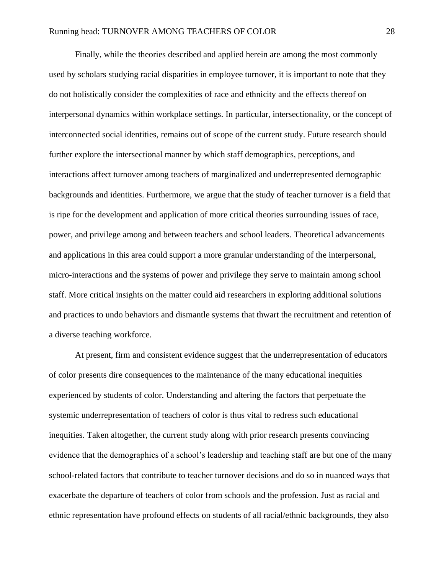Finally, while the theories described and applied herein are among the most commonly used by scholars studying racial disparities in employee turnover, it is important to note that they do not holistically consider the complexities of race and ethnicity and the effects thereof on interpersonal dynamics within workplace settings. In particular, intersectionality, or the concept of interconnected social identities, remains out of scope of the current study. Future research should further explore the intersectional manner by which staff demographics, perceptions, and interactions affect turnover among teachers of marginalized and underrepresented demographic backgrounds and identities. Furthermore, we argue that the study of teacher turnover is a field that is ripe for the development and application of more critical theories surrounding issues of race, power, and privilege among and between teachers and school leaders. Theoretical advancements and applications in this area could support a more granular understanding of the interpersonal, micro-interactions and the systems of power and privilege they serve to maintain among school staff. More critical insights on the matter could aid researchers in exploring additional solutions and practices to undo behaviors and dismantle systems that thwart the recruitment and retention of a diverse teaching workforce.

At present, firm and consistent evidence suggest that the underrepresentation of educators of color presents dire consequences to the maintenance of the many educational inequities experienced by students of color. Understanding and altering the factors that perpetuate the systemic underrepresentation of teachers of color is thus vital to redress such educational inequities. Taken altogether, the current study along with prior research presents convincing evidence that the demographics of a school's leadership and teaching staff are but one of the many school-related factors that contribute to teacher turnover decisions and do so in nuanced ways that exacerbate the departure of teachers of color from schools and the profession. Just as racial and ethnic representation have profound effects on students of all racial/ethnic backgrounds, they also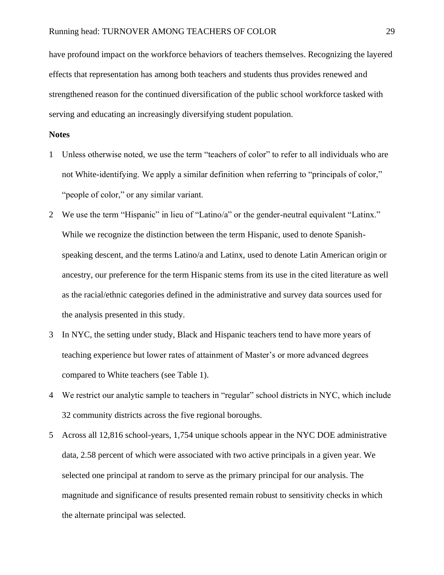have profound impact on the workforce behaviors of teachers themselves. Recognizing the layered effects that representation has among both teachers and students thus provides renewed and strengthened reason for the continued diversification of the public school workforce tasked with serving and educating an increasingly diversifying student population.

## **Notes**

- 1 Unless otherwise noted, we use the term "teachers of color" to refer to all individuals who are not White-identifying. We apply a similar definition when referring to "principals of color," "people of color," or any similar variant.
- 2 We use the term "Hispanic" in lieu of "Latino/a" or the gender-neutral equivalent "Latinx." While we recognize the distinction between the term Hispanic, used to denote Spanishspeaking descent, and the terms Latino/a and Latinx, used to denote Latin American origin or ancestry, our preference for the term Hispanic stems from its use in the cited literature as well as the racial/ethnic categories defined in the administrative and survey data sources used for the analysis presented in this study.
- 3 In NYC, the setting under study, Black and Hispanic teachers tend to have more years of teaching experience but lower rates of attainment of Master's or more advanced degrees compared to White teachers (see Table 1).
- 4 We restrict our analytic sample to teachers in "regular" school districts in NYC, which include 32 community districts across the five regional boroughs.
- 5 Across all 12,816 school-years, 1,754 unique schools appear in the NYC DOE administrative data, 2.58 percent of which were associated with two active principals in a given year. We selected one principal at random to serve as the primary principal for our analysis. The magnitude and significance of results presented remain robust to sensitivity checks in which the alternate principal was selected.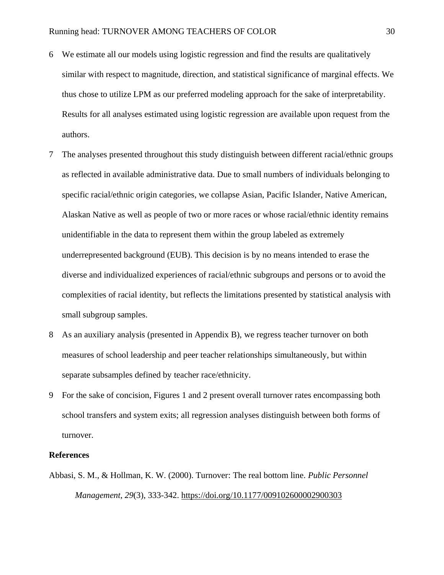- 6 We estimate all our models using logistic regression and find the results are qualitatively similar with respect to magnitude, direction, and statistical significance of marginal effects. We thus chose to utilize LPM as our preferred modeling approach for the sake of interpretability. Results for all analyses estimated using logistic regression are available upon request from the authors.
- 7 The analyses presented throughout this study distinguish between different racial/ethnic groups as reflected in available administrative data. Due to small numbers of individuals belonging to specific racial/ethnic origin categories, we collapse Asian, Pacific Islander, Native American, Alaskan Native as well as people of two or more races or whose racial/ethnic identity remains unidentifiable in the data to represent them within the group labeled as extremely underrepresented background (EUB). This decision is by no means intended to erase the diverse and individualized experiences of racial/ethnic subgroups and persons or to avoid the complexities of racial identity, but reflects the limitations presented by statistical analysis with small subgroup samples.
- 8 As an auxiliary analysis (presented in Appendix B), we regress teacher turnover on both measures of school leadership and peer teacher relationships simultaneously, but within separate subsamples defined by teacher race/ethnicity.
- 9 For the sake of concision, Figures 1 and 2 present overall turnover rates encompassing both school transfers and system exits; all regression analyses distinguish between both forms of turnover.

## **References**

Abbasi, S. M., & Hollman, K. W. (2000). Turnover: The real bottom line. *Public Personnel Management*, *29*(3), 333-342. [https://doi.org/10.1177/009102600002900303](https://doi.org/10.1177%2F009102600002900303)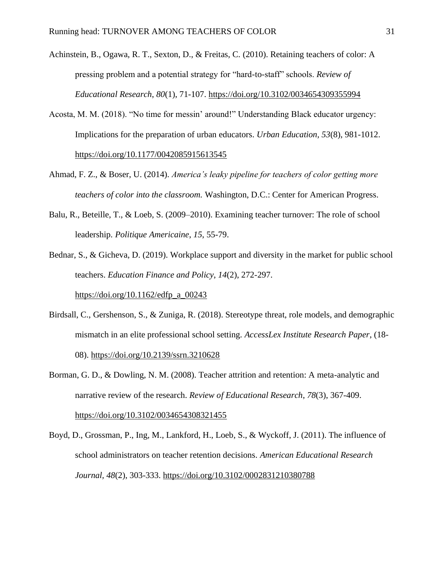Achinstein, B., Ogawa, R. T., Sexton, D., & Freitas, C. (2010). Retaining teachers of color: A pressing problem and a potential strategy for "hard-to-staff" schools. *Review of Educational Research*, *80*(1), 71-107.<https://doi.org/10.3102/0034654309355994>

- Acosta, M. M. (2018). "No time for messin' around!" Understanding Black educator urgency: Implications for the preparation of urban educators. *Urban Education, 53*(8), 981-1012. <https://doi.org/10.1177/0042085915613545>
- Ahmad, F. Z., & Boser, U. (2014). *America's leaky pipeline for teachers of color getting more teachers of color into the classroom.* Washington, D.C.: Center for American Progress.
- Balu, R., Beteille, T., & Loeb, S. (2009–2010). Examining teacher turnover: The role of school leadership. *Politique Americaine*, *15*, 55-79.

Bednar, S., & Gicheva, D. (2019). Workplace support and diversity in the market for public school teachers. *Education Finance and Policy*, *14*(2), 272-297. [https://doi.org/10.1162/edfp\\_a\\_00243](https://doi.org/10.1162/edfp_a_00243)

- Birdsall, C., Gershenson, S., & Zuniga, R. (2018). Stereotype threat, role models, and demographic mismatch in an elite professional school setting. *AccessLex Institute Research Paper*, (18- 08).<https://doi.org/10.2139/ssrn.3210628>
- Borman, G. D., & Dowling, N. M. (2008). Teacher attrition and retention: A meta-analytic and narrative review of the research. *Review of Educational Research*, *78*(3), 367-409. <https://doi.org/10.3102/0034654308321455>
- Boyd, D., Grossman, P., Ing, M., Lankford, H., Loeb, S., & Wyckoff, J. (2011). The influence of school administrators on teacher retention decisions. *American Educational Research Journal, 48*(2), 303-333. [https://doi.org/10.3102/0002831210380788](https://doi.org/10.3102%2F0002831210380788)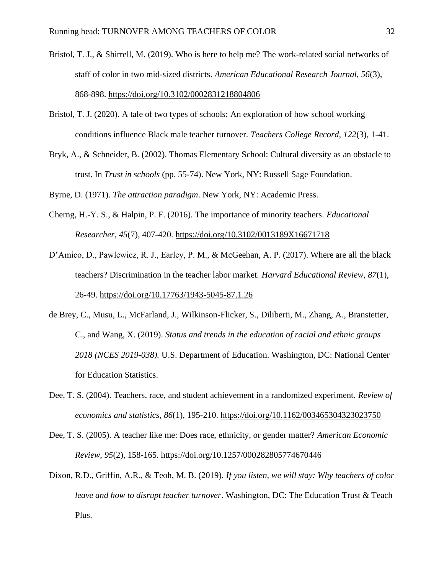- Bristol, T. J., & Shirrell, M. (2019). Who is here to help me? The work-related social networks of staff of color in two mid-sized districts. *American Educational Research Journal, 56*(3), 868-898.<https://doi.org/10.3102/0002831218804806>
- Bristol, T. J. (2020). A tale of two types of schools: An exploration of how school working conditions influence Black male teacher turnover. *Teachers College Record, 122*(3), 1-41.
- Bryk, A., & Schneider, B. (2002). Thomas Elementary School: Cultural diversity as an obstacle to trust. In *Trust in schools* (pp. 55-74). New York, NY: Russell Sage Foundation.

Byrne, D. (1971). *The attraction paradigm*. New York, NY: Academic Press.

- Cherng, H.-Y. S., & Halpin, P. F. (2016). The importance of minority teachers. *Educational Researcher*, *45*(7), 407-420.<https://doi.org/10.3102/0013189X16671718>
- D'Amico, D., Pawlewicz, R. J., Earley, P. M., & McGeehan, A. P. (2017). Where are all the black teachers? Discrimination in the teacher labor market. *Harvard Educational Review, 87*(1), 26-49.<https://doi.org/10.17763/1943-5045-87.1.26>
- de Brey, C., Musu, L., McFarland, J., Wilkinson-Flicker, S., Diliberti, M., Zhang, A., Branstetter, C., and Wang, X. (2019). *Status and trends in the education of racial and ethnic groups 2018 (NCES 2019-038).* U.S. Department of Education. Washington, DC: National Center for Education Statistics.
- Dee, T. S. (2004). Teachers, race, and student achievement in a randomized experiment. *Review of economics and statistics*, *86*(1), 195-210.<https://doi.org/10.1162/003465304323023750>
- Dee, T. S. (2005). A teacher like me: Does race, ethnicity, or gender matter? *American Economic Review*, *95*(2), 158-165.<https://doi.org/10.1257/000282805774670446>
- Dixon, R.D., Griffin, A.R., & Teoh, M. B. (2019). *If you listen, we will stay: Why teachers of color leave and how to disrupt teacher turnover*. Washington, DC: The Education Trust & Teach Plus.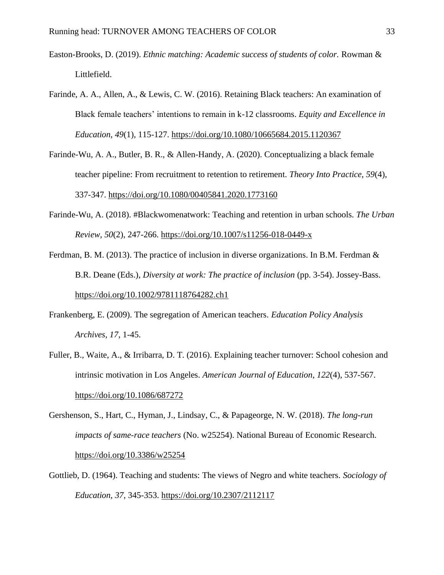- Easton-Brooks, D. (2019). *Ethnic matching: Academic success of students of color.* Rowman & Littlefield.
- Farinde, A. A., Allen, A., & Lewis, C. W. (2016). Retaining Black teachers: An examination of Black female teachers' intentions to remain in k-12 classrooms. *Equity and Excellence in Education*, *49*(1), 115-127.<https://doi.org/10.1080/10665684.2015.1120367>
- Farinde-Wu, A. A., Butler, B. R., & Allen-Handy, A. (2020). Conceptualizing a black female teacher pipeline: From recruitment to retention to retirement. *Theory Into Practice*, *59*(4), 337-347.<https://doi.org/10.1080/00405841.2020.1773160>
- Farinde-Wu, A. (2018). #Blackwomenatwork: Teaching and retention in urban schools. *The Urban Review, 50*(2), 247-266.<https://doi.org/10.1007/s11256-018-0449-x>

Ferdman, B. M. (2013). The practice of inclusion in diverse organizations. In B.M. Ferdman & B.R. Deane (Eds.), *Diversity at work: The practice of inclusion* (pp. 3-54). Jossey-Bass. <https://doi.org/10.1002/9781118764282.ch1>

- Frankenberg, E. (2009). The segregation of American teachers. *Education Policy Analysis Archives, 17*, 1-45.
- Fuller, B., Waite, A., & Irribarra, D. T. (2016). Explaining teacher turnover: School cohesion and intrinsic motivation in Los Angeles. *American Journal of Education*, *122*(4), 537-567. <https://doi.org/10.1086/687272>
- Gershenson, S., Hart, C., Hyman, J., Lindsay, C., & Papageorge, N. W. (2018). *The long-run impacts of same-race teachers* (No. w25254). National Bureau of Economic Research. <https://doi.org/10.3386/w25254>
- Gottlieb, D. (1964). Teaching and students: The views of Negro and white teachers. *Sociology of Education, 37*, 345-353. https://doi.org/10.2307/2112117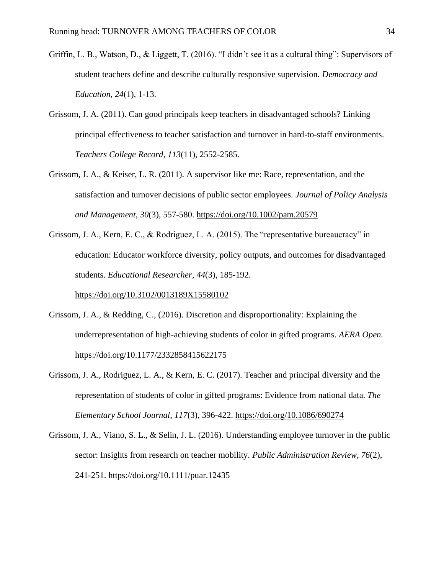- Griffin, L. B., Watson, D., & Liggett, T. (2016). "I didn't see it as a cultural thing": Supervisors of student teachers define and describe culturally responsive supervision. *Democracy and Education*, *24*(1), 1-13.
- Grissom, J. A. (2011). Can good principals keep teachers in disadvantaged schools? Linking principal effectiveness to teacher satisfaction and turnover in hard-to-staff environments. *Teachers College Record*, *113*(11), 2552-2585.
- Grissom, J. A., & Keiser, L. R. (2011). A supervisor like me: Race, representation, and the satisfaction and turnover decisions of public sector employees. *Journal of Policy Analysis and Management*, *30*(3), 557-580.<https://doi.org/10.1002/pam.20579>
- Grissom, J. A., Kern, E. C., & Rodriguez, L. A. (2015). The "representative bureaucracy" in education: Educator workforce diversity, policy outputs, and outcomes for disadvantaged students. *Educational Researcher*, *44*(3), 185-192.

[https://doi.org/10.3102/0013189X15580102](https://doi.org/10.3102%2F0013189X15580102)

- Grissom, J. A., & Redding, C., (2016). Discretion and disproportionality: Explaining the underrepresentation of high-achieving students of color in gifted programs. *AERA Open.*  <https://doi.org/10.1177/2332858415622175>
- Grissom, J. A., Rodriguez, L. A., & Kern, E. C. (2017). Teacher and principal diversity and the representation of students of color in gifted programs: Evidence from national data. *The Elementary School Journal*, *117*(3), 396-422.<https://doi.org/10.1086/690274>
- Grissom, J. A., Viano, S. L., & Selin, J. L. (2016). Understanding employee turnover in the public sector: Insights from research on teacher mobility. *Public Administration Review*, *76*(2), 241-251.<https://doi.org/10.1111/puar.12435>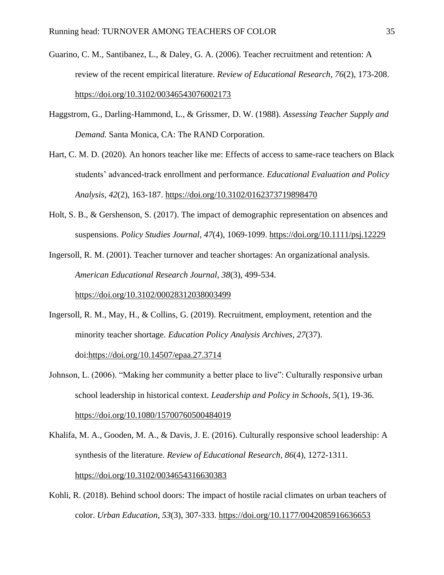- Guarino, C. M., Santibanez, L., & Daley, G. A. (2006). Teacher recruitment and retention: A review of the recent empirical literature. *Review of Educational Research*, *76*(2), 173-208. [https://doi.org/10.3102/00346543076002173](https://doi.org/10.3102%2F00346543076002173)
- Haggstrom, G., Darling-Hammond, L., & Grissmer, D. W. (1988). *Assessing Teacher Supply and Demand.* Santa Monica, CA: The RAND Corporation.
- Hart, C. M. D. (2020). An honors teacher like me: Effects of access to same-race teachers on Black students' advanced-track enrollment and performance. *Educational Evaluation and Policy Analysis*, *42*(2), 163-187.<https://doi.org/10.3102/0162373719898470>
- Holt, S. B., & Gershenson, S. (2017). The impact of demographic representation on absences and suspensions. *Policy Studies Journal*, *47*(4), 1069-1099.<https://doi.org/10.1111/psj.12229>

Ingersoll, R. M. (2001). Teacher turnover and teacher shortages: An organizational analysis. *American Educational Research Journal*, *38*(3), 499-534.

<https://doi.org/10.3102/00028312038003499>

- Ingersoll, R. M., May, H., & Collins, G. (2019). Recruitment, employment, retention and the minority teacher shortage. *Education Policy Analysis Archives, 27*(37). doi[:https://doi.org/10.14507/epaa.27.3714](https://doi.org/10.14507/epaa.27.3714)
- Johnson, L. (2006). "Making her community a better place to live": Culturally responsive urban school leadership in historical context. *Leadership and Policy in Schools*, *5*(1), 19-36. <https://doi.org/10.1080/15700760500484019>
- Khalifa, M. A., Gooden, M. A., & Davis, J. E. (2016). Culturally responsive school leadership: A synthesis of the literature. *Review of Educational Research*, *86*(4), 1272-1311[.](https://doi.org/10.3102%2F0034654316630383) <https://doi.org/10.3102/0034654316630383>
- Kohli, R. (2018). Behind school doors: The impact of hostile racial climates on urban teachers of color. *Urban Education*, *53*(3), 307-333.<https://doi.org/10.1177/0042085916636653>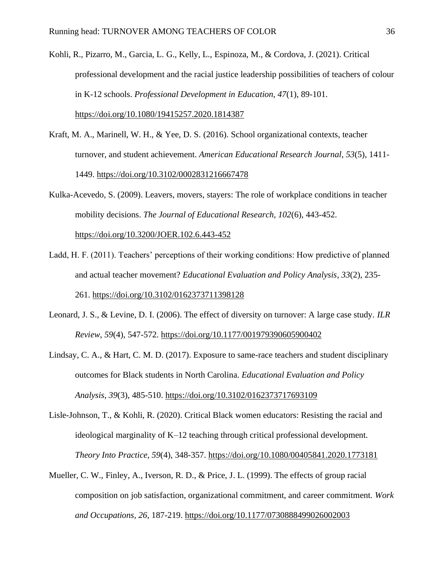Kohli, R., Pizarro, M., Garcia, L. G., Kelly, L., Espinoza, M., & Cordova, J. (2021). Critical professional development and the racial justice leadership possibilities of teachers of colour in K-12 schools. *Professional Development in Education, 47*(1), 89-101. <https://doi.org/10.1080/19415257.2020.1814387>

- Kraft, M. A., Marinell, W. H., & Yee, D. S. (2016). School organizational contexts, teacher turnover, and student achievement. *American Educational Research Journal*, *53*(5), 1411- 1449.<https://doi.org/10.3102/0002831216667478>
- Kulka-Acevedo, S. (2009). Leavers, movers, stayers: The role of workplace conditions in teacher mobility decisions. *The Journal of Educational Research, 102*(6), 443-452.

<https://doi.org/10.3200/JOER.102.6.443-452>

- Ladd, H. F. (2011). Teachers' perceptions of their working conditions: How predictive of planned and actual teacher movement? *Educational Evaluation and Policy Analysis*, *33*(2), 235- 261.<https://doi.org/10.3102/0162373711398128>
- Leonard, J. S., & Levine, D. I. (2006). The effect of diversity on turnover: A large case study. *ILR Review*, *59*(4), 547-572.<https://doi.org/10.1177/001979390605900402>
- Lindsay, C. A., & Hart, C. M. D. (2017). Exposure to same-race teachers and student disciplinary outcomes for Black students in North Carolina. *Educational Evaluation and Policy Analysis*, *39*(3), 485-510.<https://doi.org/10.3102/0162373717693109>
- Lisle-Johnson, T., & Kohli, R. (2020). Critical Black women educators: Resisting the racial and ideological marginality of K–12 teaching through critical professional development. *Theory Into Practice*, *59*(4), 348-357.<https://doi.org/10.1080/00405841.2020.1773181>
- Mueller, C. W., Finley, A., Iverson, R. D., & Price, J. L. (1999). The effects of group racial composition on job satisfaction, organizational commitment, and career commitment. *Work and Occupations, 26*, 187-219. [https://doi.org/10.1177/0730888499026002003](https://doi.org/10.1177%2F0730888499026002003)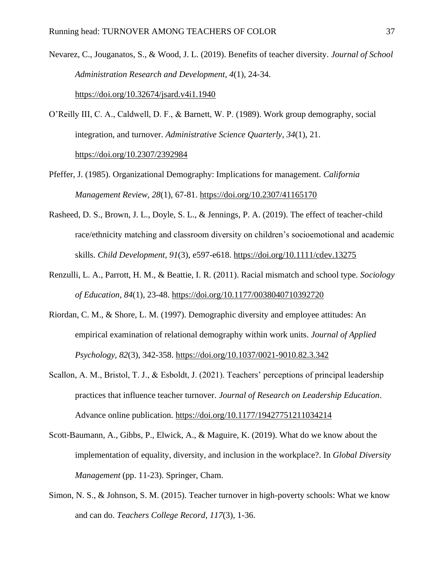Nevarez, C., Jouganatos, S., & Wood, J. L. (2019). Benefits of teacher diversity. *Journal of School Administration Research and Development*, *4*(1), 24-34.

<https://doi.org/10.32674/jsard.v4i1.1940>

- O'Reilly III, C. A., Caldwell, D. F., & Barnett, W. P. (1989). Work group demography, social integration, and turnover. *Administrative Science Quarterly*, *34*(1), 21. <https://doi.org/10.2307/2392984>
- Pfeffer, J. (1985). Organizational Demography: Implications for management. *California Management Review, 28*(1), 67-81.<https://doi.org/10.2307/41165170>
- Rasheed, D. S., Brown, J. L., Doyle, S. L., & Jennings, P. A. (2019). The effect of teacher-child race/ethnicity matching and classroom diversity on children's socioemotional and academic skills. *Child Development*, *91*(3), e597-e618.<https://doi.org/10.1111/cdev.13275>
- Renzulli, L. A., Parrott, H. M., & Beattie, I. R. (2011). Racial mismatch and school type. *Sociology of Education*, *84*(1), 23-48.<https://doi.org/10.1177/0038040710392720>
- Riordan, C. M., & Shore, L. M. (1997). Demographic diversity and employee attitudes: An empirical examination of relational demography within work units. *Journal of Applied Psychology, 82*(3), 342-358. [https://doi.org/10.1037/0021-9010.82.3.342](https://psycnet.apa.org/doi/10.1037/0021-9010.82.3.342)
- Scallon, A. M., Bristol, T. J., & Esboldt, J. (2021). Teachers' perceptions of principal leadership practices that influence teacher turnover. *Journal of Research on Leadership Education*. Advance online publication.<https://doi.org/10.1177/19427751211034214>
- Scott-Baumann, A., Gibbs, P., Elwick, A., & Maguire, K. (2019). What do we know about the implementation of equality, diversity, and inclusion in the workplace?. In *Global Diversity Management* (pp. 11-23). Springer, Cham.
- Simon, N. S., & Johnson, S. M. (2015). Teacher turnover in high-poverty schools: What we know and can do. *Teachers College Record*, *117*(3), 1-36.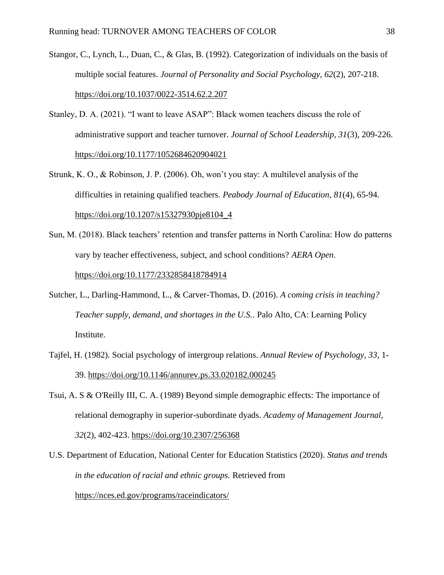- Stangor, C., Lynch, L., Duan, C., & Glas, B. (1992). Categorization of individuals on the basis of multiple social features. *Journal of Personality and Social Psychology, 62*(2), 207-218. [https://doi.org/10.1037/0022-3514.62.2.207](https://psycnet.apa.org/doi/10.1037/0022-3514.62.2.207)
- Stanley, D. A. (2021). "I want to leave ASAP": Black women teachers discuss the role of administrative support and teacher turnover. *Journal of School Leadership, 31*(3), 209-226. <https://doi.org/10.1177/1052684620904021>
- Strunk, K. O., & Robinson, J. P. (2006). Oh, won't you stay: A multilevel analysis of the difficulties in retaining qualified teachers. *Peabody Journal of Education*, *81*(4), 65-94. [https://doi.org/10.1207/s15327930pje8104\\_4](https://doi.org/10.1207/s15327930pje8104_4)
- Sun, M. (2018). Black teachers' retention and transfer patterns in North Carolina: How do patterns vary by teacher effectiveness, subject, and school conditions? *AERA Open*. <https://doi.org/10.1177/2332858418784914>
- Sutcher, L., Darling-Hammond, L., & Carver-Thomas, D. (2016). *A coming crisis in teaching? Teacher supply, demand, and shortages in the U.S.*. Palo Alto, CA: Learning Policy Institute.
- Tajfel, H. (1982). Social psychology of intergroup relations. *Annual Review of Psychology, 33*, 1- 39.<https://doi.org/10.1146/annurev.ps.33.020182.000245>
- Tsui, A. S & O'Reilly III, C. A. (1989) Beyond simple demographic effects: The importance of relational demography in superior-subordinate dyads. *Academy of Management Journal, 32*(2), 402-423.<https://doi.org/10.2307/256368>
- U.S. Department of Education, National Center for Education Statistics (2020). *Status and trends in the education of racial and ethnic groups.* Retrieved from

<https://nces.ed.gov/programs/raceindicators/>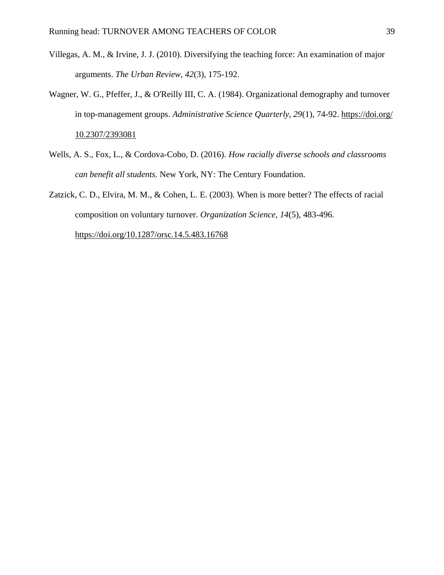- Villegas, A. M., & Irvine, J. J. (2010). Diversifying the teaching force: An examination of major arguments. *The Urban Review, 42*(3), 175-192.
- Wagner, W. G., Pfeffer, J., & O'Reilly III, C. A. (1984). Organizational demography and turnover in top-management groups. *Administrative Science Quarterly, 29*(1), 74-92. https://doi.org/ 10.2307/2393081
- Wells, A. S., Fox, L., & Cordova-Cobo, D. (2016). *How racially diverse schools and classrooms can benefit all students.* New York, NY: The Century Foundation.
- Zatzick, C. D., Elvira, M. M., & Cohen, L. E. (2003). When is more better? The effects of racial composition on voluntary turnover. *Organization Science*, *14*(5), 483-496.

<https://doi.org/10.1287/orsc.14.5.483.16768>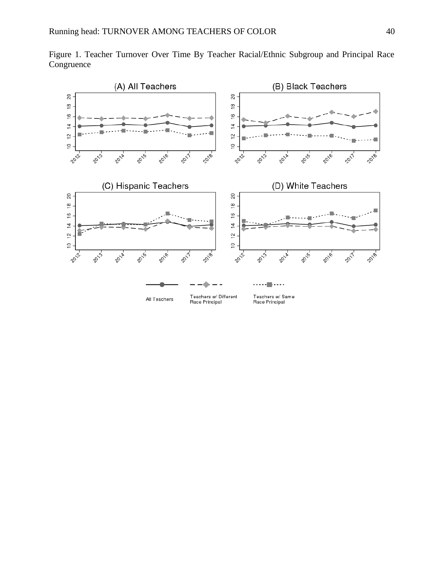

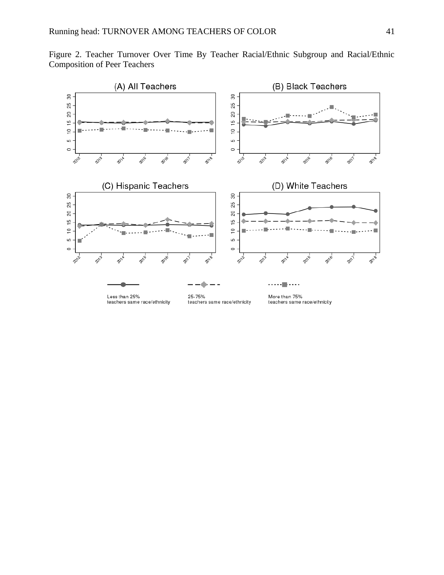

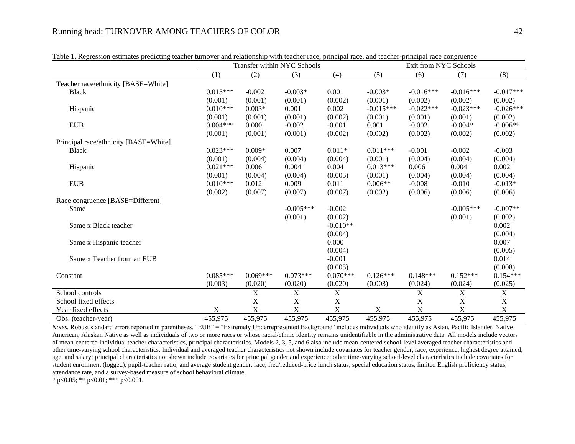|                                       |            |            | Transfer within NYC Schools |            | Exit from NYC Schools |             |             |             |
|---------------------------------------|------------|------------|-----------------------------|------------|-----------------------|-------------|-------------|-------------|
|                                       | (1)        | (2)        | (3)                         | (4)        | (5)                   | (6)         | (7)         | (8)         |
| Teacher race/ethnicity [BASE=White]   |            |            |                             |            |                       |             |             |             |
| <b>Black</b>                          | $0.015***$ | $-0.002$   | $-0.003*$                   | 0.001      | $-0.003*$             | $-0.016***$ | $-0.016***$ | $-0.017***$ |
|                                       | (0.001)    | (0.001)    | (0.001)                     | (0.002)    | (0.001)               | (0.002)     | (0.002)     | (0.002)     |
| Hispanic                              | $0.010***$ | $0.003*$   | 0.001                       | 0.002      | $-0.015***$           | $-0.022***$ | $-0.023***$ | $-0.026***$ |
|                                       | (0.001)    | (0.001)    | (0.001)                     | (0.002)    | (0.001)               | (0.001)     | (0.001)     | (0.002)     |
| <b>EUB</b>                            | $0.004***$ | 0.000      | $-0.002$                    | $-0.001$   | 0.001                 | $-0.002$    | $-0.004*$   | $-0.006**$  |
|                                       | (0.001)    | (0.001)    | (0.001)                     | (0.002)    | (0.002)               | (0.002)     | (0.002)     | (0.002)     |
| Principal race/ethnicity [BASE=White] |            |            |                             |            |                       |             |             |             |
| <b>Black</b>                          | $0.023***$ | $0.009*$   | 0.007                       | $0.011*$   | $0.011***$            | $-0.001$    | $-0.002$    | $-0.003$    |
|                                       | (0.001)    | (0.004)    | (0.004)                     | (0.004)    | (0.001)               | (0.004)     | (0.004)     | (0.004)     |
| Hispanic                              | $0.021***$ | 0.006      | 0.004                       | 0.004      | $0.013***$            | 0.006       | 0.004       | 0.002       |
|                                       | (0.001)    | (0.004)    | (0.004)                     | (0.005)    | (0.001)               | (0.004)     | (0.004)     | (0.004)     |
| <b>EUB</b>                            | $0.010***$ | 0.012      | 0.009                       | 0.011      | $0.006**$             | $-0.008$    | $-0.010$    | $-0.013*$   |
|                                       | (0.002)    | (0.007)    | (0.007)                     | (0.007)    | (0.002)               | (0.006)     | (0.006)     | (0.006)     |
| Race congruence [BASE=Different]      |            |            |                             |            |                       |             |             |             |
| Same                                  |            |            | $-0.005***$                 | $-0.002$   |                       |             | $-0.005***$ | $-0.007**$  |
|                                       |            |            | (0.001)                     | (0.002)    |                       |             | (0.001)     | (0.002)     |
| Same x Black teacher                  |            |            |                             | $-0.010**$ |                       |             |             | 0.002       |
|                                       |            |            |                             | (0.004)    |                       |             |             | (0.004)     |
| Same x Hispanic teacher               |            |            |                             | 0.000      |                       |             |             | 0.007       |
|                                       |            |            |                             | (0.004)    |                       |             |             | (0.005)     |
| Same x Teacher from an EUB            |            |            |                             | $-0.001$   |                       |             |             | 0.014       |
|                                       |            |            |                             | (0.005)    |                       |             |             | (0.008)     |
| Constant                              | $0.085***$ | $0.069***$ | $0.073***$                  | $0.070***$ | $0.126***$            | $0.148***$  | $0.152***$  | $0.154***$  |
|                                       | (0.003)    | (0.020)    | (0.020)                     | (0.020)    | (0.003)               | (0.024)     | (0.024)     | (0.025)     |
| School controls                       |            | X          | X                           | X          |                       | X           | X           | X           |
| School fixed effects                  |            | X          | X                           | X          |                       | X           | X           | X           |
| Year fixed effects                    | X          | X          | X                           | X          | X                     | $\mathbf X$ | X           | X           |
| Obs. (teacher-year)                   | 455,975    | 455,975    | 455,975                     | 455,975    | 455,975               | 455,975     | 455,975     | 455,975     |

Table 1. Regression estimates predicting teacher turnover and relationship with teacher race, principal race, and teacher-principal race congruence

*Notes.* Robust standard errors reported in parentheses. "EUB" = "Extremely Underrepresented Background'' includes individuals who identify as Asian, Pacific Islander, Native American, Alaskan Native as well as individuals of two or more races or whose racial/ethnic identity remains unidentifiable in the administrative data. All models include vectors of mean-centered individual teacher characteristics, principal characteristics. Models 2, 3, 5, and 6 also include mean-centered school-level averaged teacher characteristics and other time-varying school characteristics. Individual and averaged teacher characteristics not shown include covariates for teacher gender, race, experience, highest degree attained, age, and salary; principal characteristics not shown include covariates for principal gender and experience; other time-varying school-level characteristics include covariates for student enrollment (logged), pupil-teacher ratio, and average student gender, race, free/reduced-price lunch status, special education status, limited English proficiency status, attendance rate, and a survey-based measure of school behavioral climate.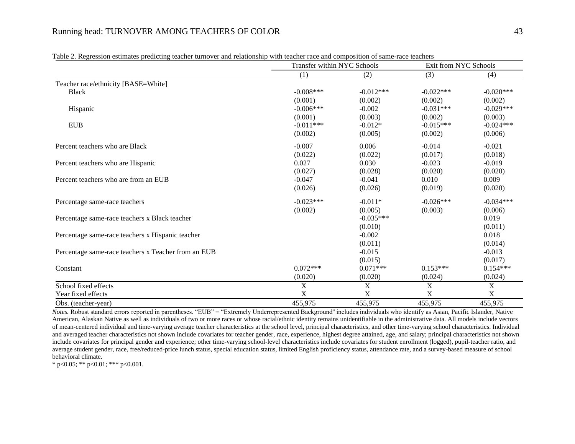|                                                     | Transfer within NYC Schools |             | Exit from NYC Schools |             |
|-----------------------------------------------------|-----------------------------|-------------|-----------------------|-------------|
|                                                     | (1)                         | (2)         | (3)                   | (4)         |
| Teacher race/ethnicity [BASE=White]                 |                             |             |                       |             |
| <b>Black</b>                                        | $-0.008***$                 | $-0.012***$ | $-0.022***$           | $-0.020***$ |
|                                                     | (0.001)                     | (0.002)     | (0.002)               | (0.002)     |
| Hispanic                                            | $-0.006***$                 | $-0.002$    | $-0.031***$           | $-0.029***$ |
|                                                     | (0.001)                     | (0.003)     | (0.002)               | (0.003)     |
| <b>EUB</b>                                          | $-0.011***$                 | $-0.012*$   | $-0.015***$           | $-0.024***$ |
|                                                     | (0.002)                     | (0.005)     | (0.002)               | (0.006)     |
| Percent teachers who are Black                      | $-0.007$                    | 0.006       | $-0.014$              | $-0.021$    |
|                                                     | (0.022)                     | (0.022)     | (0.017)               | (0.018)     |
| Percent teachers who are Hispanic                   | 0.027                       | 0.030       | $-0.023$              | $-0.019$    |
|                                                     | (0.027)                     | (0.028)     | (0.020)               | (0.020)     |
| Percent teachers who are from an EUB                | $-0.047$                    | $-0.041$    | 0.010                 | 0.009       |
|                                                     | (0.026)                     | (0.026)     | (0.019)               | (0.020)     |
| Percentage same-race teachers                       | $-0.023***$                 | $-0.011*$   | $-0.026***$           | $-0.034***$ |
|                                                     | (0.002)                     | (0.005)     | (0.003)               | (0.006)     |
| Percentage same-race teachers x Black teacher       |                             | $-0.035***$ |                       | 0.019       |
|                                                     |                             | (0.010)     |                       | (0.011)     |
| Percentage same-race teachers x Hispanic teacher    |                             | $-0.002$    |                       | 0.018       |
|                                                     |                             | (0.011)     |                       | (0.014)     |
| Percentage same-race teachers x Teacher from an EUB |                             | $-0.015$    |                       | $-0.013$    |
|                                                     |                             | (0.015)     |                       | (0.017)     |
| Constant                                            | $0.072***$                  | $0.071***$  | $0.153***$            | $0.154***$  |
|                                                     | (0.020)                     | (0.020)     | (0.024)               | (0.024)     |
| School fixed effects                                | X                           | X           | X                     | X           |
| Year fixed effects                                  | X                           | X           | X                     | X           |
| Obs. (teacher-year)                                 | 455,975                     | 455,975     | 455,975               | 455,975     |

Table 2. Regression estimates predicting teacher turnover and relationship with teacher race and composition of same-race teachers

*Notes.* Robust standard errors reported in parentheses. "EUB" = "Extremely Underrepresented Background'' includes individuals who identify as Asian, Pacific Islander, Native American, Alaskan Native as well as individuals of two or more races or whose racial/ethnic identity remains unidentifiable in the administrative data. All models include vectors of mean-centered individual and time-varying average teacher characteristics at the school level, principal characteristics, and other time-varying school characteristics. Individual and averaged teacher characteristics not shown include covariates for teacher gender, race, experience, highest degree attained, age, and salary; principal characteristics not shown include covariates for principal gender and experience; other time-varying school-level characteristics include covariates for student enrollment (logged), pupil-teacher ratio, and average student gender, race, free/reduced-price lunch status, special education status, limited English proficiency status, attendance rate, and a survey-based measure of school behavioral climate.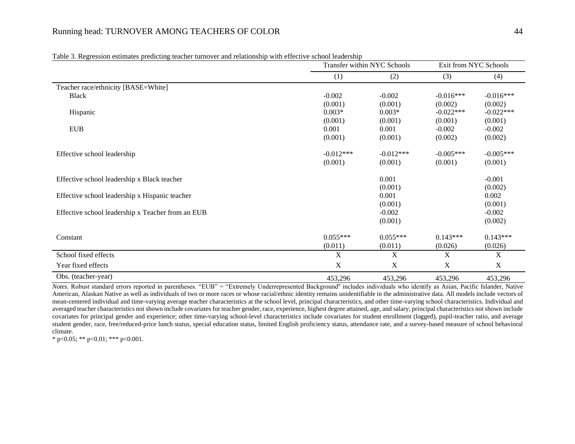| raoie 5. Regression estimates predicting teacher tamo rer and relationship with effective senoof leadership | Transfer within NYC Schools |             |             | Exit from NYC Schools     |  |
|-------------------------------------------------------------------------------------------------------------|-----------------------------|-------------|-------------|---------------------------|--|
|                                                                                                             | (1)                         | (2)         | (3)         | (4)                       |  |
| Teacher race/ethnicity [BASE=White]                                                                         |                             |             |             |                           |  |
| <b>Black</b>                                                                                                | $-0.002$                    | $-0.002$    | $-0.016***$ | $-0.016***$               |  |
|                                                                                                             | (0.001)                     | (0.001)     | (0.002)     | (0.002)                   |  |
| Hispanic                                                                                                    | $0.003*$                    | $0.003*$    | $-0.022***$ | $-0.022***$               |  |
|                                                                                                             | (0.001)                     | (0.001)     | (0.001)     | (0.001)                   |  |
| <b>EUB</b>                                                                                                  | 0.001                       | 0.001       | $-0.002$    | $-0.002$                  |  |
|                                                                                                             | (0.001)                     | (0.001)     | (0.002)     | (0.002)                   |  |
| Effective school leadership                                                                                 | $-0.012***$                 | $-0.012***$ | $-0.005***$ | $-0.005***$               |  |
|                                                                                                             | (0.001)                     | (0.001)     | (0.001)     | (0.001)                   |  |
| Effective school leadership x Black teacher                                                                 |                             | 0.001       |             | $-0.001$                  |  |
|                                                                                                             |                             | (0.001)     |             | (0.002)                   |  |
| Effective school leadership x Hispanic teacher                                                              |                             | 0.001       |             | 0.002                     |  |
|                                                                                                             |                             | (0.001)     |             | (0.001)                   |  |
| Effective school leadership x Teacher from an EUB                                                           |                             | $-0.002$    |             | $-0.002$                  |  |
|                                                                                                             |                             | (0.001)     |             | (0.002)                   |  |
| Constant                                                                                                    | $0.055***$                  | $0.055***$  | $0.143***$  | $0.143***$                |  |
|                                                                                                             | (0.011)                     | (0.011)     | (0.026)     | (0.026)                   |  |
| School fixed effects                                                                                        | X                           | X           | X           | $\boldsymbol{\mathrm{X}}$ |  |
| Year fixed effects                                                                                          | $\mathbf X$                 | X           | $\mathbf X$ | $\mathbf X$               |  |
| Obs. (teacher-year)                                                                                         | 453,296                     | 453,296     | 453,296     | 453,296                   |  |

Table 3. Regression estimates predicting teacher turnover and relationship with effective school leadership

*Notes*. Robust standard errors reported in parentheses. "EUB" = "Extremely Underrepresented Background" includes individuals who identify as Asian, Pacific Islander, Native American, Alaskan Native as well as individuals of two or more races or whose racial/ethnic identity remains unidentifiable in the administrative data. All models include vectors of mean-centered individual and time-varying average teacher characteristics at the school level, principal characteristics, and other time-varying school characteristics. Individual and averaged teacher characteristics not shown include covariates for teacher gender, race, experience, highest degree attained, age, and salary; principal characteristics not shown include covariates for principal gender and experience; other time-varying school-level characteristics include covariates for student enrollment (logged), pupil-teacher ratio, and average student gender, race, free/reduced-price lunch status, special education status, limited English proficiency status, attendance rate, and a survey-based measure of school behavioral climate.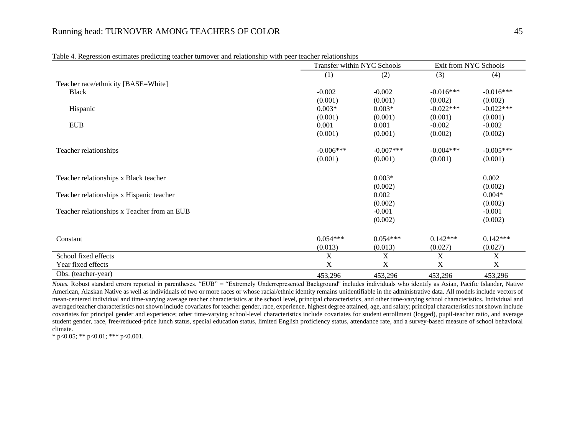|                                             | Transfer within NYC Schools |             | Exit from NYC Schools |             |
|---------------------------------------------|-----------------------------|-------------|-----------------------|-------------|
|                                             | (1)                         | (2)         | (3)                   | (4)         |
| Teacher race/ethnicity [BASE=White]         |                             |             |                       |             |
| <b>Black</b>                                | $-0.002$                    | $-0.002$    | $-0.016***$           | $-0.016***$ |
|                                             | (0.001)                     | (0.001)     | (0.002)               | (0.002)     |
| Hispanic                                    | $0.003*$                    | $0.003*$    | $-0.022***$           | $-0.022***$ |
|                                             | (0.001)                     | (0.001)     | (0.001)               | (0.001)     |
| <b>EUB</b>                                  | 0.001                       | 0.001       | $-0.002$              | $-0.002$    |
|                                             | (0.001)                     | (0.001)     | (0.002)               | (0.002)     |
| Teacher relationships                       | $-0.006***$                 | $-0.007***$ | $-0.004***$           | $-0.005***$ |
|                                             | (0.001)                     | (0.001)     | (0.001)               | (0.001)     |
| Teacher relationships x Black teacher       |                             | $0.003*$    |                       | 0.002       |
|                                             |                             | (0.002)     |                       | (0.002)     |
| Teacher relationships x Hispanic teacher    |                             | 0.002       |                       | $0.004*$    |
|                                             |                             | (0.002)     |                       | (0.002)     |
| Teacher relationships x Teacher from an EUB |                             | $-0.001$    |                       | $-0.001$    |
|                                             |                             | (0.002)     |                       | (0.002)     |
| Constant                                    | $0.054***$                  | $0.054***$  | $0.142***$            | $0.142***$  |
|                                             | (0.013)                     | (0.013)     | (0.027)               | (0.027)     |
| School fixed effects                        | $\mathbf X$                 | $\mathbf X$ | $\mathbf X$           | $\mathbf X$ |
| Year fixed effects                          | X                           | X           | X                     | $\mathbf X$ |
| Obs. (teacher-year)                         | 453,296                     | 453,296     | 453,296               | 453,296     |

Table 4. Regression estimates predicting teacher turnover and relationship with peer teacher relationships

*Notes.* Robust standard errors reported in parentheses. "EUB" = "Extremely Underrepresented Background'' includes individuals who identify as Asian, Pacific Islander, Native American, Alaskan Native as well as individuals of two or more races or whose racial/ethnic identity remains unidentifiable in the administrative data. All models include vectors of mean-centered individual and time-varying average teacher characteristics at the school level, principal characteristics, and other time-varying school characteristics. Individual and averaged teacher characteristics not shown include covariates for teacher gender, race, experience, highest degree attained, age, and salary; principal characteristics not shown include covariates for principal gender and experience; other time-varying school-level characteristics include covariates for student enrollment (logged), pupil-teacher ratio, and average student gender, race, free/reduced-price lunch status, special education status, limited English proficiency status, attendance rate, and a survey-based measure of school behavioral climate.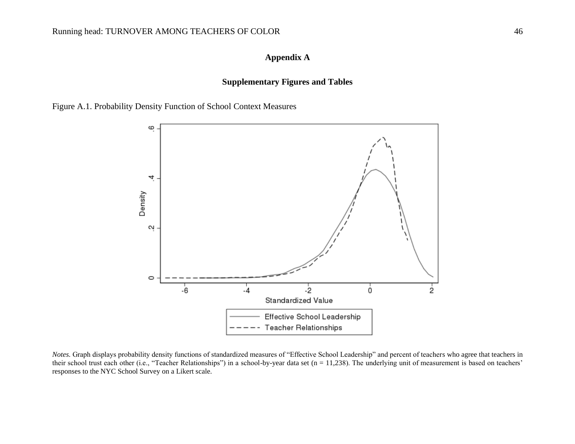## **Appendix A**

## **Supplementary Figures and Tables**

Figure A.1. Probability Density Function of School Context Measures



*Notes.* Graph displays probability density functions of standardized measures of "Effective School Leadership" and percent of teachers who agree that teachers in their school trust each other (i.e., "Teacher Relationships") in a school-by-year data set (n = 11,238). The underlying unit of measurement is based on teachers' responses to the NYC School Survey on a Likert scale.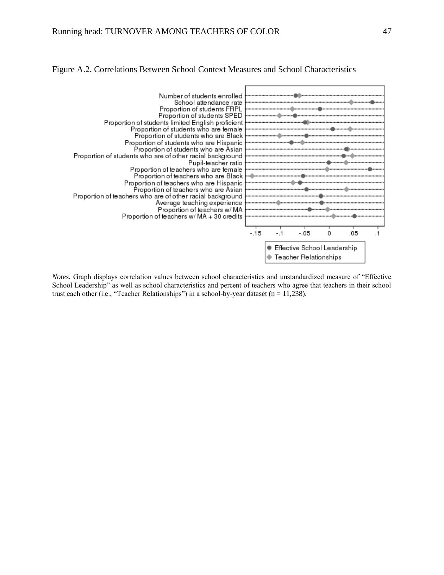

## Figure A.2. Correlations Between School Context Measures and School Characteristics

*Notes.* Graph displays correlation values between school characteristics and unstandardized measure of "Effective School Leadership" as well as school characteristics and percent of teachers who agree that teachers in their school trust each other (i.e., "Teacher Relationships") in a school-by-year dataset ( $n = 11,238$ ).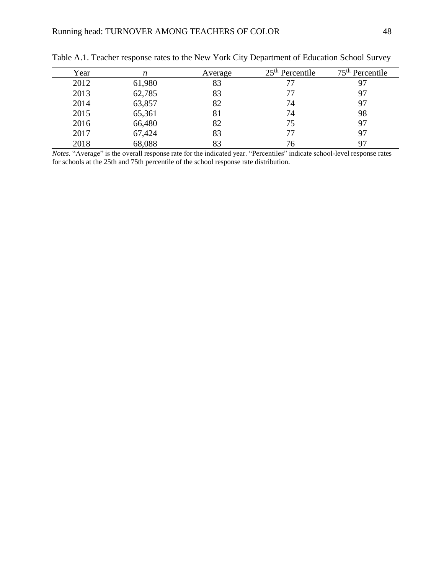| Year | n      | Average | $25th$ Percentile | $75th$ Percentile |
|------|--------|---------|-------------------|-------------------|
| 2012 | 61,980 | 83      | 77                |                   |
| 2013 | 62,785 | 83      | 77                | 97                |
| 2014 | 63,857 | 82      | 74                | 97                |
| 2015 | 65,361 | 81      | 74                | 98                |
| 2016 | 66,480 | 82      | 75                | 97                |
| 2017 | 67,424 | 83      | 77                | 97                |
| 2018 | 68,088 | 83      | 76                |                   |

Table A.1. Teacher response rates to the New York City Department of Education School Survey

*Notes.* "Average" is the overall response rate for the indicated year. "Percentiles" indicate school-level response rates for schools at the 25th and 75th percentile of the school response rate distribution.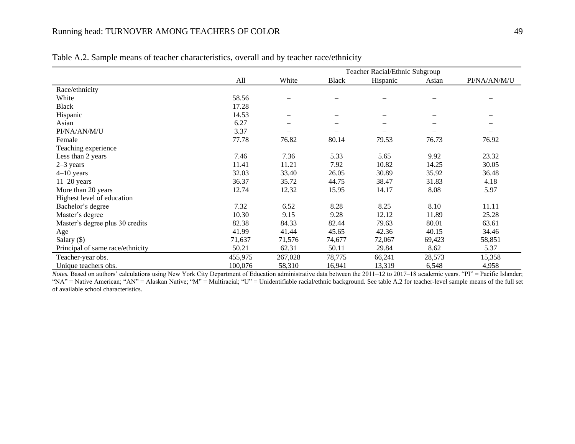|                                  |         | Teacher Racial/Ethnic Subgroup |                          |          |        |                   |  |  |  |
|----------------------------------|---------|--------------------------------|--------------------------|----------|--------|-------------------|--|--|--|
|                                  | All     | White                          | Black                    | Hispanic | Asian  | PI/NA/AN/M/U      |  |  |  |
| Race/ethnicity                   |         |                                |                          |          |        |                   |  |  |  |
| White                            | 58.56   |                                |                          |          |        |                   |  |  |  |
| <b>Black</b>                     | 17.28   |                                |                          |          |        |                   |  |  |  |
| Hispanic                         | 14.53   |                                | $\overline{\phantom{0}}$ |          |        |                   |  |  |  |
| Asian                            | 6.27    | $\overline{\phantom{0}}$       | $\qquad \qquad$          |          |        |                   |  |  |  |
| PI/NA/AN/M/U                     | 3.37    | $\overline{\phantom{0}}$       |                          |          |        | $\qquad \qquad -$ |  |  |  |
| Female                           | 77.78   | 76.82                          | 80.14                    | 79.53    | 76.73  | 76.92             |  |  |  |
| Teaching experience              |         |                                |                          |          |        |                   |  |  |  |
| Less than 2 years                | 7.46    | 7.36                           | 5.33                     | 5.65     | 9.92   | 23.32             |  |  |  |
| $2-3$ years                      | 11.41   | 11.21                          | 7.92                     | 10.82    | 14.25  | 30.05             |  |  |  |
| $4-10$ years                     | 32.03   | 33.40                          | 26.05                    | 30.89    | 35.92  | 36.48             |  |  |  |
| $11-20$ years                    | 36.37   | 35.72                          | 44.75                    | 38.47    | 31.83  | 4.18              |  |  |  |
| More than 20 years               | 12.74   | 12.32                          | 15.95                    | 14.17    | 8.08   | 5.97              |  |  |  |
| Highest level of education       |         |                                |                          |          |        |                   |  |  |  |
| Bachelor's degree                | 7.32    | 6.52                           | 8.28                     | 8.25     | 8.10   | 11.11             |  |  |  |
| Master's degree                  | 10.30   | 9.15                           | 9.28                     | 12.12    | 11.89  | 25.28             |  |  |  |
| Master's degree plus 30 credits  | 82.38   | 84.33                          | 82.44                    | 79.63    | 80.01  | 63.61             |  |  |  |
| Age                              | 41.99   | 41.44                          | 45.65                    | 42.36    | 40.15  | 34.46             |  |  |  |
| Salary $(\$)$                    | 71,637  | 71,576                         | 74,677                   | 72,067   | 69,423 | 58,851            |  |  |  |
| Principal of same race/ethnicity | 50.21   | 62.31                          | 50.11                    | 29.84    | 8.62   | 5.37              |  |  |  |
| Teacher-year obs.                | 455,975 | 267,028                        | 78,775                   | 66,241   | 28,573 | 15,358            |  |  |  |
| Unique teachers obs.             | 100,076 | 58,310                         | 16,941                   | 13,319   | 6,548  | 4,958             |  |  |  |

Table A.2. Sample means of teacher characteristics, overall and by teacher race/ethnicity

*Notes*. Based on authors' calculations using New York City Department of Education administrative data between the 2011–12 to 2017–18 academic years. "PI" = Pacific Islander; "NA" = Native American; "AN" = Alaskan Native; "M" = Multiracial; "U" = Unidentifiable racial/ethnic background. See table A.2 for teacher-level sample means of the full set of available school characteristics.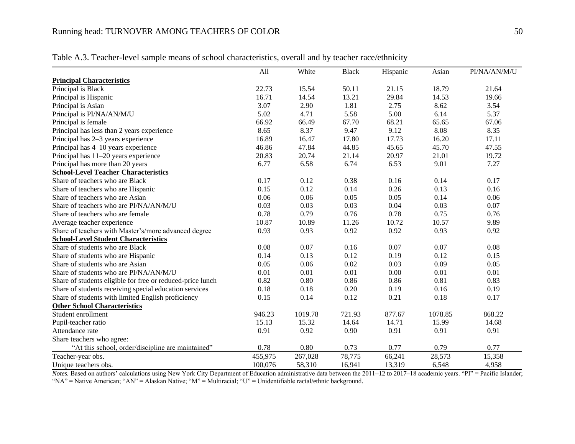|                                                            | All     | White   | <b>Black</b> | Hispanic | Asian   | PI/NA/AN/M/U |
|------------------------------------------------------------|---------|---------|--------------|----------|---------|--------------|
| <b>Principal Characteristics</b>                           |         |         |              |          |         |              |
| Principal is Black                                         | 22.73   | 15.54   | 50.11        | 21.15    | 18.79   | 21.64        |
| Principal is Hispanic                                      | 16.71   | 14.54   | 13.21        | 29.84    | 14.53   | 19.66        |
| Principal is Asian                                         | 3.07    | 2.90    | 1.81         | 2.75     | 8.62    | 3.54         |
| Principal is PI/NA/AN/M/U                                  | 5.02    | 4.71    | 5.58         | 5.00     | 6.14    | 5.37         |
| Principal is female                                        | 66.92   | 66.49   | 67.70        | 68.21    | 65.65   | 67.06        |
| Principal has less than 2 years experience                 | 8.65    | 8.37    | 9.47         | 9.12     | 8.08    | 8.35         |
| Principal has 2-3 years experience                         | 16.89   | 16.47   | 17.80        | 17.73    | 16.20   | 17.11        |
| Principal has 4-10 years experience                        | 46.86   | 47.84   | 44.85        | 45.65    | 45.70   | 47.55        |
| Principal has 11-20 years experience                       | 20.83   | 20.74   | 21.14        | 20.97    | 21.01   | 19.72        |
| Principal has more than 20 years                           | 6.77    | 6.58    | 6.74         | 6.53     | 9.01    | 7.27         |
| <b>School-Level Teacher Characteristics</b>                |         |         |              |          |         |              |
| Share of teachers who are Black                            | 0.17    | 0.12    | 0.38         | 0.16     | 0.14    | 0.17         |
| Share of teachers who are Hispanic                         | 0.15    | 0.12    | 0.14         | 0.26     | 0.13    | 0.16         |
| Share of teachers who are Asian                            | 0.06    | 0.06    | 0.05         | 0.05     | 0.14    | 0.06         |
| Share of teachers who are PI/NA/AN/M/U                     | 0.03    | 0.03    | 0.03         | 0.04     | 0.03    | 0.07         |
| Share of teachers who are female                           | 0.78    | 0.79    | 0.76         | 0.78     | 0.75    | 0.76         |
| Average teacher experience                                 | 10.87   | 10.89   | 11.26        | 10.72    | 10.57   | 9.89         |
| Share of teachers with Master's/more advanced degree       | 0.93    | 0.93    | 0.92         | 0.92     | 0.93    | 0.92         |
| <b>School-Level Student Characteristics</b>                |         |         |              |          |         |              |
| Share of students who are Black                            | 0.08    | 0.07    | 0.16         | 0.07     | 0.07    | 0.08         |
| Share of students who are Hispanic                         | 0.14    | 0.13    | 0.12         | 0.19     | 0.12    | 0.15         |
| Share of students who are Asian                            | 0.05    | 0.06    | 0.02         | 0.03     | 0.09    | 0.05         |
| Share of students who are PI/NA/AN/M/U                     | 0.01    | 0.01    | 0.01         | 0.00     | 0.01    | 0.01         |
| Share of students eligible for free or reduced-price lunch | 0.82    | 0.80    | 0.86         | 0.86     | 0.81    | 0.83         |
| Share of students receiving special education services     | 0.18    | 0.18    | 0.20         | 0.19     | 0.16    | 0.19         |
| Share of students with limited English proficiency         | 0.15    | 0.14    | 0.12         | 0.21     | 0.18    | 0.17         |
| <b>Other School Characteristics</b>                        |         |         |              |          |         |              |
| Student enrollment                                         | 946.23  | 1019.78 | 721.93       | 877.67   | 1078.85 | 868.22       |
| Pupil-teacher ratio                                        | 15.13   | 15.32   | 14.64        | 14.71    | 15.99   | 14.68        |
| Attendance rate                                            | 0.91    | 0.92    | 0.90         | 0.91     | 0.91    | 0.91         |
| Share teachers who agree:                                  |         |         |              |          |         |              |
| "At this school, order/discipline are maintained"          | 0.78    | 0.80    | 0.73         | 0.77     | 0.79    | 0.77         |
| Teacher-year obs.                                          | 455,975 | 267,028 | 78,775       | 66,241   | 28,573  | 15,358       |
| Unique teachers obs.                                       | 100,076 | 58,310  | 16,941       | 13,319   | 6,548   | 4,958        |

Table A.3. Teacher-level sample means of school characteristics, overall and by teacher race/ethnicity

*Notes.* Based on authors' calculations using New York City Department of Education administrative data between the 2011–12 to 2017–18 academic years. "PI" = Pacific Islander; "NA" = Native American; "AN" = Alaskan Native; "M" = Multiracial; "U" = Unidentifiable racial/ethnic background.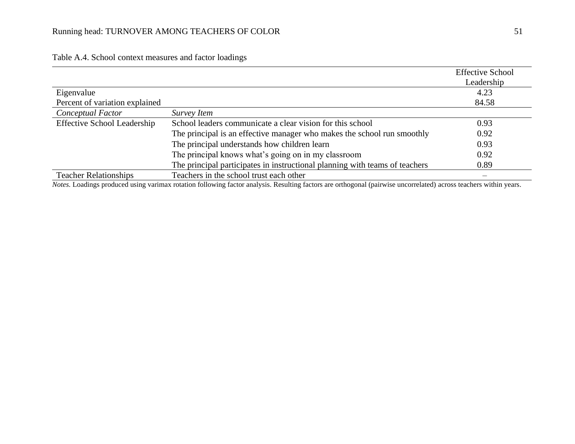|                                    |                                                                             | <b>Effective School</b> |
|------------------------------------|-----------------------------------------------------------------------------|-------------------------|
|                                    |                                                                             | Leadership              |
| Eigenvalue                         |                                                                             | 4.23                    |
| Percent of variation explained     |                                                                             | 84.58                   |
| Conceptual Factor                  | Survey Item                                                                 |                         |
| <b>Effective School Leadership</b> | School leaders communicate a clear vision for this school                   | 0.93                    |
|                                    | The principal is an effective manager who makes the school run smoothly     | 0.92                    |
|                                    | The principal understands how children learn                                | 0.93                    |
|                                    | The principal knows what's going on in my classroom                         | 0.92                    |
|                                    | The principal participates in instructional planning with teams of teachers | 0.89                    |
| <b>Teacher Relationships</b>       | Teachers in the school trust each other                                     |                         |

Table A.4. School context measures and factor loadings

*Notes.* Loadings produced using varimax rotation following factor analysis. Resulting factors are orthogonal (pairwise uncorrelated) across teachers within years.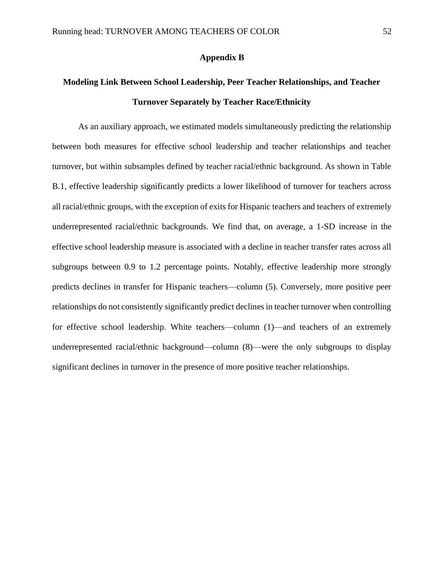## **Appendix B**

## **Modeling Link Between School Leadership, Peer Teacher Relationships, and Teacher Turnover Separately by Teacher Race/Ethnicity**

As an auxiliary approach, we estimated models simultaneously predicting the relationship between both measures for effective school leadership and teacher relationships and teacher turnover, but within subsamples defined by teacher racial/ethnic background. As shown in Table B.1, effective leadership significantly predicts a lower likelihood of turnover for teachers across all racial/ethnic groups, with the exception of exits for Hispanic teachers and teachers of extremely underrepresented racial/ethnic backgrounds. We find that, on average, a 1-SD increase in the effective school leadership measure is associated with a decline in teacher transfer rates across all subgroups between 0.9 to 1.2 percentage points. Notably, effective leadership more strongly predicts declines in transfer for Hispanic teachers—column (5). Conversely, more positive peer relationships do not consistently significantly predict declines in teacher turnover when controlling for effective school leadership. White teachers—column (1)—and teachers of an extremely underrepresented racial/ethnic background—column (8)—were the only subgroups to display significant declines in turnover in the presence of more positive teacher relationships.